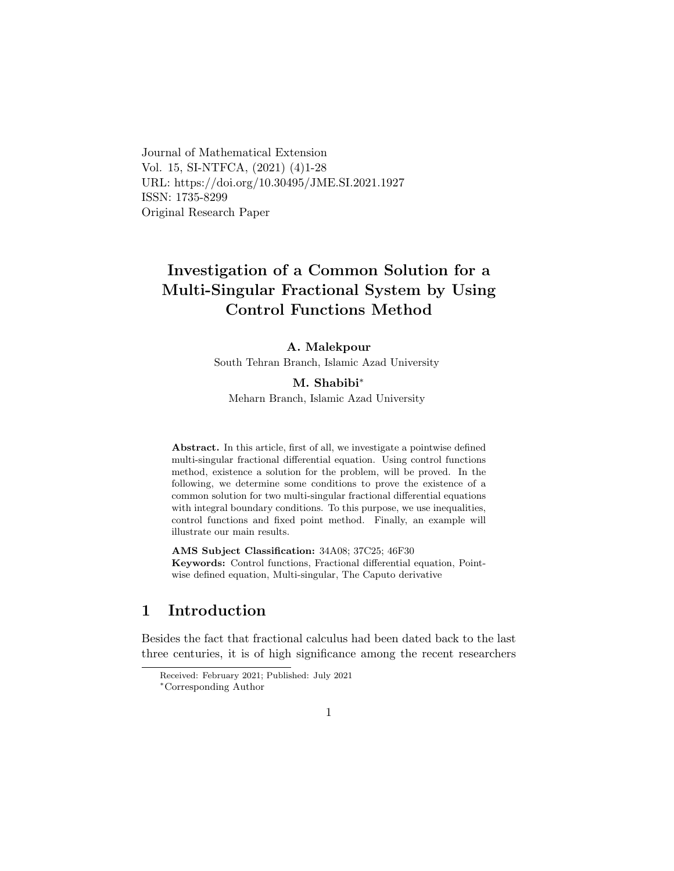Journal of Mathematical Extension Vol. 15, SI-NTFCA, (2021) (4)1-28 URL: https://doi.org/10.30495/JME.SI.2021.1927 ISSN: 1735-8299 Original Research Paper

# Investigation of a Common Solution for a Multi-Singular Fractional System by Using Control Functions Method

#### A. Malekpour

South Tehran Branch, Islamic Azad University

### M. Shabibi[∗](#page-0-0)

Meharn Branch, Islamic Azad University

Abstract. In this article, first of all, we investigate a pointwise defined multi-singular fractional differential equation. Using control functions method, existence a solution for the problem, will be proved. In the following, we determine some conditions to prove the existence of a common solution for two multi-singular fractional differential equations with integral boundary conditions. To this purpose, we use inequalities, control functions and fixed point method. Finally, an example will illustrate our main results.

AMS Subject Classification: 34A08; 37C25; 46F30 Keywords: Control functions, Fractional differential equation, Pointwise defined equation, Multi-singular, The Caputo derivative

## 1 Introduction

Besides the fact that fractional calculus had been dated back to the last three centuries, it is of high significance among the recent researchers

Received: February 2021; Published: July 2021

<span id="page-0-0"></span><sup>∗</sup>Corresponding Author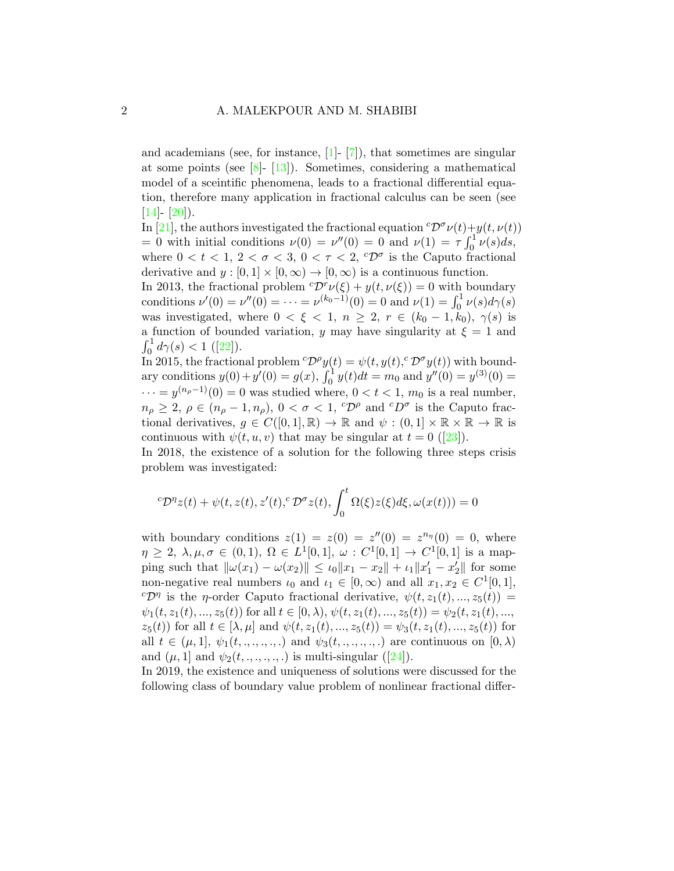and academians (see, for instance, [\[1\]](#page-24-0)- [\[7\]](#page-24-1)), that sometimes are singular at some points (see  $[8]$ - [\[13\]](#page-25-1)). Sometimes, considering a mathematical model of a sceintific phenomena, leads to a fractional differential equation, therefore many application in fractional calculus can be seen (see  $[14] - [20]$  $[14] - [20]$  $[14] - [20]$ .

In [\[21\]](#page-26-1), the authors investigated the fractional equation  ${}^{c}\mathcal{D}^{\sigma}\nu(t)+y(t,\nu(t))$ = 0 with initial conditions  $\nu(0) = \nu''(0) = 0$  and  $\nu(1) = \tau \int_0^1 \nu(s) ds$ , where  $0 < t < 1, 2 < \sigma < 3, 0 < \tau < 2, {}^{c}\mathcal{D}^{\sigma}$  is the Caputo fractional derivative and  $y : [0, 1] \times [0, \infty) \rightarrow [0, \infty)$  is a continuous function.

In 2013, the fractional problem  ${}^c\mathcal{D}^r\nu(\xi) + y(t,\nu(\xi)) = 0$  with boundary conditions  $\nu'(0) = \nu''(0) = \cdots = \nu^{(k_0-1)}(0) = 0$  and  $\nu(1) = \int_0^1 \nu(s) d\gamma(s)$ was investigated, where  $0 < \xi < 1$ ,  $n \geq 2$ ,  $r \in (k_0 - 1, k_0)$ ,  $\gamma(s)$  is a function of bounded variation, y may have singularity at  $\xi = 1$  and  $\int_0^1 d\gamma(s) < 1$  $\int_0^1 d\gamma(s) < 1$  $\int_0^1 d\gamma(s) < 1$  ([\[22\]](#page-26-2)).

In 2015, the fractional problem  ${}^c\mathcal{D}^{\rho}y(t) = \psi(t, y(t), {}^c\mathcal{D}^{\sigma}y(t))$  with boundary conditions  $y(0) + y'(0) = g(x)$ ,  $\int_0^1 y(t)dt = m_0$  and  $y''(0) = y^{(3)}(0) =$  $\cdots = y^{(n_\rho - 1)}(0) = 0$  was studied where,  $0 < t < 1$ ,  $m_0$  is a real number,  $n_{\rho} \geq 2, \ \rho \in (n_{\rho} - 1, n_{\rho}), \ 0 < \sigma < 1, \ ^{c}\mathcal{D}^{\rho}$  and  $^{c}D^{\sigma}$  is the Caputo fractional derivatives,  $g \in C([0,1], \mathbb{R}) \to \mathbb{R}$  and  $\psi : (0,1] \times \mathbb{R} \times \mathbb{R} \to \mathbb{R}$  is continuouswith  $\psi(t, u, v)$  that may be singular at  $t = 0$  ([\[23\]](#page-26-3)).

In 2018, the existence of a solution for the following three steps crisis problem was investigated:

<span id="page-1-0"></span>
$$
{}^{c}\mathcal{D}^{\eta}z(t) + \psi(t, z(t), z'(t), {}^{c}\mathcal{D}^{\sigma}z(t), \int_0^t \Omega(\xi)z(\xi)d\xi, \omega(x(t))) = 0
$$

with boundary conditions  $z(1) = z(0) = z''(0) = z^{n_{\eta}}(0) = 0$ , where  $\eta \geq 2, \lambda, \mu, \sigma \in (0,1), \Omega \in L^1[0,1], \omega : C^1[0,1] \to C^1[0,1]$  is a mapping such that  $\|\omega(x_1) - \omega(x_2)\| \leq \iota_0 \|x_1 - x_2\| + \iota_1 \|x_1' - x_2'\|$  for some non-negative real numbers  $\iota_0$  and  $\iota_1 \in [0, \infty)$  and all  $x_1, x_2 \in C^1[0, 1],$ <sup>c</sup> $\mathcal{D}^{\eta}$  is the *η*-order Caputo fractional derivative,  $\psi(t, z_1(t), ..., z_5(t)) =$  $\psi_1(t, z_1(t), ..., z_5(t))$  for all  $t \in [0, \lambda), \psi(t, z_1(t), ..., z_5(t)) = \psi_2(t, z_1(t), ...,$  $z_5(t)$  for all  $t \in [\lambda, \mu]$  and  $\psi(t, z_1(t), ..., z_5(t)) = \psi_3(t, z_1(t), ..., z_5(t))$  for all  $t \in (\mu, 1], \psi_1(t, \ldots, \ldots, \ldots)$  and  $\psi_3(t, \ldots, \ldots, \ldots)$  are continuous on  $[0, \lambda)$ and  $(\mu, 1]$  and  $\psi_2(t, \ldots, \ldots, \ldots)$  is multi-singular ([\[24\]](#page-26-4)).

In 2019, the existence and uniqueness of solutions were discussed for the following class of boundary value problem of nonlinear fractional differ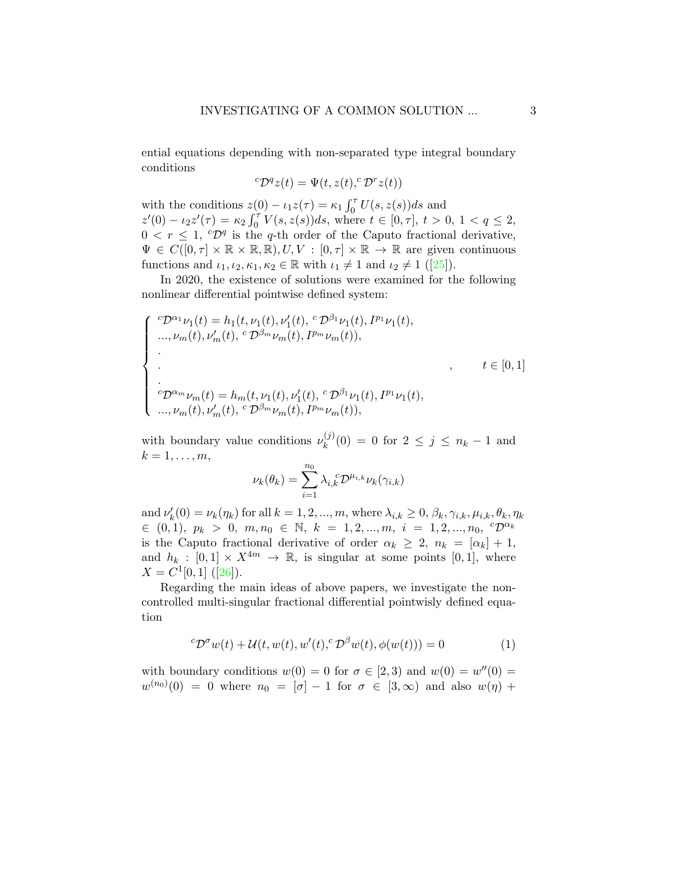ential equations depending with non-separated type integral boundary conditions

$$
{}^c\mathcal{D}^q z(t) = \Psi(t, z(t), {}^c\mathcal{D}^r z(t))
$$

with the conditions  $z(0) - \iota_1 z(\tau) = \kappa_1 \int_0^{\tau} U(s, z(s)) ds$  and  $z'(0) - \iota_2 z'(\tau) = \kappa_2 \int_0^{\tau} V(s, z(s)) ds$ , where  $t \in [0, \tau]$ ,  $t > 0$ ,  $1 < q \le 2$ ,  $0 < r \leq 1$ ,  ${}^c\mathcal{D}^q$  is the q-th order of the Caputo fractional derivative,  $\Psi \in C([0,\tau] \times \mathbb{R} \times \mathbb{R},\mathbb{R}), U, V : [0,\tau] \times \mathbb{R} \to \mathbb{R}$  are given continuous functionsand  $\iota_1, \iota_2, \kappa_1, \kappa_2 \in \mathbb{R}$  with  $\iota_1 \neq 1$  and  $\iota_2 \neq 1$  ([\[25\]](#page-27-0)).

In 2020, the existence of solutions were examined for the following nonlinear differential pointwise defined system:

$$
\begin{cases}\n^{c}\mathcal{D}^{\alpha_{1}}\nu_{1}(t) = h_{1}(t,\nu_{1}(t),\nu'_{1}(t),~^{c}\mathcal{D}^{\beta_{1}}\nu_{1}(t),~^{p_{1}}\nu_{1}(t),\n...,\nu_{m}(t),\nu'_{m}(t),~^{c}\mathcal{D}^{\beta_{m}}\nu_{m}(t),~^{p_{m}}\nu_{m}(t)),\n\vdots\n^{c}\mathcal{D}^{\alpha_{m}}\nu_{m}(t) = h_{m}(t,\nu_{1}(t),\nu'_{1}(t),~^{c}\mathcal{D}^{\beta_{1}}\nu_{1}(t),~^{p_{1}}\nu_{1}(t),\n...,\nu_{m}(t),\nu'_{m}(t),~^{c}\mathcal{D}^{\beta_{m}}\nu_{m}(t),~^{p_{m}}\nu_{m}(t)),\n\end{cases}
$$

with boundary value conditions  $\nu_k^{(j)}$  $k_k^{(J)}(0) = 0$  for  $2 \le j \le n_k - 1$  and  $k=1,\ldots,m,$ 

$$
\nu_k(\theta_k) = \sum_{i=1}^{n_0} \lambda_{i,k}^{\ \ c} \mathcal{D}^{\mu_{i,k}} \nu_k(\gamma_{i,k})
$$

and  $\nu'_k(0) = \nu_k(\eta_k)$  for all  $k = 1, 2, ..., m$ , where  $\lambda_{i,k} \geq 0, \beta_k, \gamma_{i,k}, \mu_{i,k}, \theta_k, \eta_k$  $\in (0, 1), p_k > 0, m, n_0 \in \mathbb{N}, k = 1, 2, ..., m, i = 1, 2, ..., n_0, \ ^{c}\mathcal{D}^{\alpha_k}$ is the Caputo fractional derivative of order  $\alpha_k \geq 2$ ,  $n_k = [\alpha_k] + 1$ , and  $h_k : [0,1] \times X^{4m} \to \mathbb{R}$ , is singular at some points [0, 1], where  $X = C^1[0,1]$  $X = C^1[0,1]$  $X = C^1[0,1]$  ([\[26\]](#page-27-1)).

Regarding the main ideas of above papers, we investigate the noncontrolled multi-singular fractional differential pointwisly defined equation

$$
{}^{c}\mathcal{D}^{\sigma}w(t) + \mathcal{U}(t, w(t), w'(t), {}^{c}\mathcal{D}^{\beta}w(t), \phi(w(t))) = 0 \qquad (1)
$$

with boundary conditions  $w(0) = 0$  for  $\sigma \in [2,3)$  and  $w(0) = w''(0) = 0$  $w^{(n_0)}(0) = 0$  where  $n_0 = [\sigma] - 1$  for  $\sigma \in [3, \infty)$  and also  $w(\eta)$  +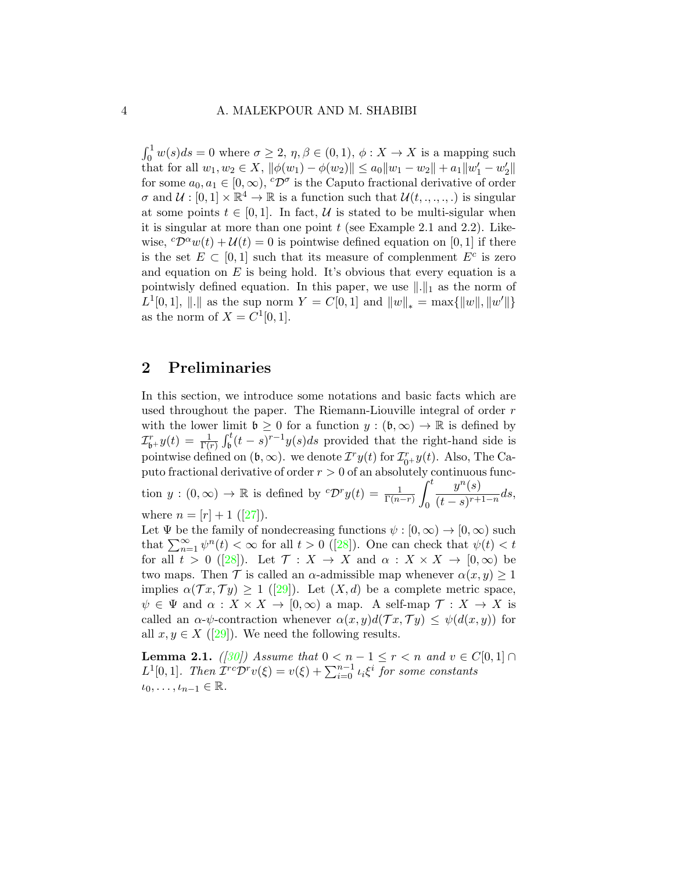$\int_0^1 w(s)ds = 0$  where  $\sigma \geq 2, \eta, \beta \in (0,1), \phi: X \to X$  is a mapping such that for all  $w_1, w_2 \in X$ ,  $\|\phi(w_1) - \phi(w_2)\| \le a_0 \|w_1 - w_2\| + a_1 \|w_1' - w_2'\|$ for some  $a_0, a_1 \in [0, \infty)$ ,  ${}^c\mathcal{D}^{\sigma}$  is the Caputo fractional derivative of order  $\sigma$  and  $\mathcal{U} : [0,1] \times \mathbb{R}^4 \to \mathbb{R}$  is a function such that  $\mathcal{U}(t, \ldots, t)$  is singular at some points  $t \in [0, 1]$ . In fact, U is stated to be multi-sigular when it is singular at more than one point  $t$  (see Example 2.1 and 2.2). Likewise,  ${}^{c}\mathcal{D}^{\alpha}w(t) + \mathcal{U}(t) = 0$  is pointwise defined equation on [0, 1] if there is the set  $E \subset [0,1]$  such that its measure of complement  $E^c$  is zero and equation on  $E$  is being hold. It's obvious that every equation is a pointwisly defined equation. In this paper, we use  $\|.\|_1$  as the norm of  $L^1[0,1], ||.||$  as the sup norm  $Y = C[0,1]$  and  $||w||_* = \max{||w||, ||w'||}$ as the norm of  $X = C^1[0, 1].$ 

### 2 Preliminaries

In this section, we introduce some notations and basic facts which are used throughout the paper. The Riemann-Liouville integral of order r with the lower limit  $\mathfrak{b} \geq 0$  for a function  $y : (\mathfrak{b}, \infty) \to \mathbb{R}$  is defined by  $\mathcal{I}_{\mathfrak{b}^+}^r y(t) = \frac{1}{\Gamma(r)} \int_{\mathfrak{b}}^t (t-s)^{r-1} y(s) ds$  provided that the right-hand side is pointwise defined on  $(\mathfrak{b}, \infty)$ . we denote  $T^r y(t)$  for  $\mathcal{I}_{0^+}^r y(t)$ . Also, The Caputo fractional derivative of order  $r > 0$  of an absolutely continuous function  $y:(0,\infty) \to \mathbb{R}$  is defined by  ${}^c\mathcal{D}^r y(t) = \frac{1}{\Gamma(n-r)}$  $\int_0^t$ 0  $y^n(s)$  $\frac{g\left( b\right) }{\left( t-s\right) ^{r+1-n}}ds,$ where $n = [r] + 1$  ([\[27\]](#page-27-2)).

Let  $\Psi$  be the family of nondecreasing functions  $\psi : [0, \infty) \to [0, \infty)$  such that $\sum_{n=1}^{\infty} \psi^n(t) < \infty$  for all  $t > 0$  ([\[28\]](#page-27-3)). One can check that  $\psi(t) < t$ forall  $t > 0$  ([\[28\]](#page-27-3)). Let  $\mathcal{T}: X \to X$  and  $\alpha: X \times X \to [0, \infty)$  be two maps. Then  $\mathcal T$  is called an  $\alpha$ -admissible map whenever  $\alpha(x, y) \geq 1$ implies $\alpha(\mathcal{T}x, \mathcal{T}y) \geq 1$  ([\[29\]](#page-27-4)). Let  $(X, d)$  be a complete metric space,  $\psi \in \Psi$  and  $\alpha : X \times X \to [0, \infty)$  a map. A self-map  $\mathcal{T} : X \to X$  is called an  $\alpha$ - $\psi$ -contraction whenever  $\alpha(x, y)d(\mathcal{T}x, \mathcal{T}y) \leq \psi(d(x, y))$  for all  $x, y \in X$  ([\[29\]](#page-27-4)). We need the following results.

<span id="page-3-0"></span>**Lemma 2.1.** ([\[30\]](#page-27-5)) Assume that  $0 < n - 1 \le r < n$  and  $v \in C[0,1] \cap$  $L^1[0,1]$ . Then  $\mathcal{I}^{rc}\mathcal{D}^rv(\xi) = v(\xi) + \sum_{i=0}^{n-1} \iota_i \xi^i$  for some constants  $\iota_0, \ldots, \iota_{n-1} \in \mathbb{R}.$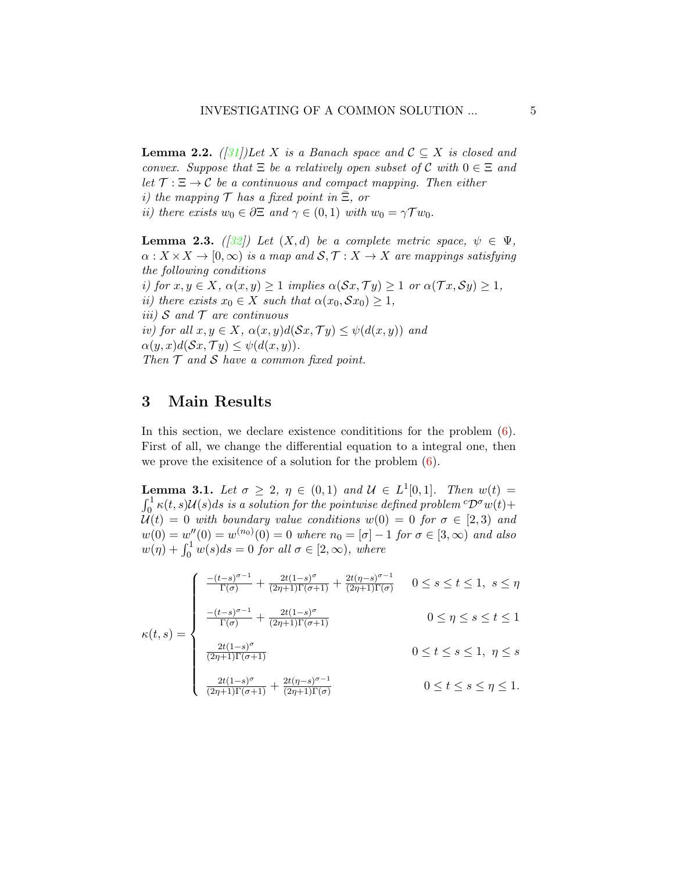<span id="page-4-1"></span>**Lemma 2.2.** ([\[31\]](#page-27-6))Let X is a Banach space and  $C \subseteq X$  is closed and convex. Suppose that  $\Xi$  be a relatively open subset of C with  $0 \in \Xi$  and let  $\mathcal{T} : \Xi \to \mathcal{C}$  be a continuous and compact mapping. Then either i) the mapping  $\mathcal T$  has a fixed point in  $\Xi$ , or ii) there exists  $w_0 \in \partial \Xi$  and  $\gamma \in (0,1)$  with  $w_0 = \gamma \mathcal{T} w_0$ .

<span id="page-4-2"></span>**Lemma 2.3.** ([\[32\]](#page-27-7)) Let  $(X,d)$  be a complete metric space,  $\psi \in \Psi$ ,  $\alpha: X \times X \to [0, \infty)$  is a map and  $S, \mathcal{T}: X \to X$  are mappings satisfying the following conditions i) for  $x, y \in X$ ,  $\alpha(x, y) \geq 1$  implies  $\alpha(\mathcal{S}x, \mathcal{T}y) \geq 1$  or  $\alpha(\mathcal{T}x, \mathcal{S}y) \geq 1$ , ii) there exists  $x_0 \in X$  such that  $\alpha(x_0, \mathcal{S}x_0) \geq 1$ , iii) S and  $\mathcal T$  are continuous iv) for all  $x, y \in X$ ,  $\alpha(x, y)d(Sx, Ty) \leq \psi(d(x, y))$  and  $\alpha(y, x)d(Sx, Ty) \leq \psi(d(x, y)).$ 

Then  $T$  and  $S$  have a common fixed point.

### 3 Main Results

In this section, we declare existence conditions for the problem  $(6)$ . First of all, we change the differential equation to a integral one, then we prove the existence of a solution for the problem  $(6)$ .

<span id="page-4-0"></span>**Lemma 3.1.** Let  $\sigma \geq 2$ ,  $\eta \in (0,1)$  and  $\mathcal{U} \in L^1[0,1]$ . Then  $w(t) =$  $\int_0^1 \kappa(t,s) \mathcal{U}(s) ds$  is a solution for the pointwise defined problem  ${}^c\mathcal{D}^\sigma w(t) +$  $\mathcal{U}(t) = 0$  with boundary value conditions  $w(0) = 0$  for  $\sigma \in [2,3)$  and  $w(0) = w''(0) = w^{(n_0)}(0) = 0$  where  $n_0 = [\sigma] - 1$  for  $\sigma \in [3, \infty)$  and also  $w(\eta) + \int_0^1 w(s)ds = 0$  for all  $\sigma \in [2,\infty)$ , where

$$
\int \frac{-(t-s)^{\sigma-1}}{\Gamma(\sigma)} + \frac{2t(1-s)^{\sigma}}{(2\eta+1)\Gamma(\sigma+1)} + \frac{2t(\eta-s)^{\sigma-1}}{(2\eta+1)\Gamma(\sigma)} \quad 0 \le s \le t \le 1, \ s \le \eta
$$

$$
\kappa(t,s) = \begin{cases}\n\frac{- (t-s)^{\sigma - 1}}{\Gamma(\sigma)} + \frac{2t(1-s)^{\sigma}}{(2\eta + 1)\Gamma(\sigma + 1)} & 0 \le s \le t \le 1, \ s \le \eta \\
\frac{-(t-s)^{\sigma - 1}}{\Gamma(\sigma)} + \frac{2t(1-s)^{\sigma}}{(2\eta + 1)\Gamma(\sigma + 1)} & 0 \le \eta \le s \le t \le 1\n\end{cases}
$$

$$
0 \le t \le s \le 1, \ \eta \le s
$$
  

$$
\frac{2t(1-s)^{\sigma}}{(2\eta+1)\Gamma(\sigma+1)}
$$
  

$$
\frac{2t(1-s)^{\sigma}}{(2\eta+1)\Gamma(\sigma+1)} + \frac{2t(\eta-s)^{\sigma-1}}{(2\eta+1)\Gamma(\sigma)}
$$
  

$$
0 \le t \le s \le \eta \le 1.
$$

$$
\frac{2t(1-s)^{\sigma}}{(2\eta+1)\Gamma(\sigma+1)} + \frac{2t(\eta-s)^{\sigma-1}}{(2\eta+1)\Gamma(\sigma)} \qquad 0 \le t \le s \le \eta \le 1.
$$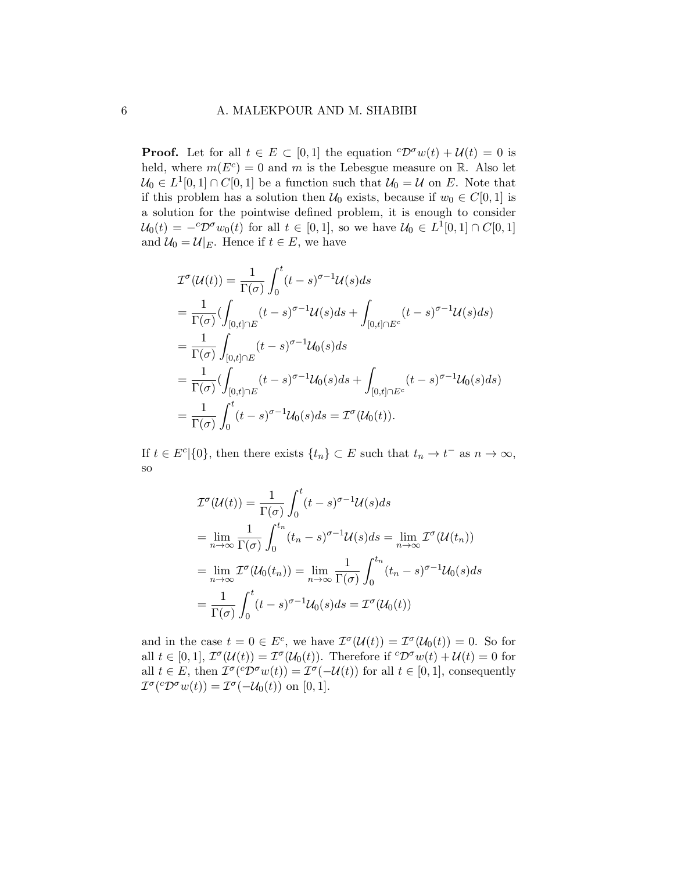**Proof.** Let for all  $t \in E \subset [0,1]$  the equation  ${}^c\mathcal{D}^{\sigma}w(t) + \mathcal{U}(t) = 0$  is held, where  $m(E^c) = 0$  and m is the Lebesgue measure on R. Also let  $\mathcal{U}_0 \in L^1[0,1] \cap C[0,1]$  be a function such that  $\mathcal{U}_0 = \mathcal{U}$  on E. Note that if this problem has a solution then  $U_0$  exists, because if  $w_0 \in C[0,1]$  is a solution for the pointwise defined problem, it is enough to consider  $\mathcal{U}_0(t) = -{}^c \mathcal{D}^{\sigma} w_0(t)$  for all  $t \in [0,1]$ , so we have  $\mathcal{U}_0 \in L^1[0,1] \cap C[0,1]$ and  $\mathcal{U}_0 = \mathcal{U}|_E$ . Hence if  $t \in E$ , we have

$$
\mathcal{I}^{\sigma}(\mathcal{U}(t)) = \frac{1}{\Gamma(\sigma)} \int_{0}^{t} (t-s)^{\sigma-1} \mathcal{U}(s) ds
$$
  
\n
$$
= \frac{1}{\Gamma(\sigma)} \Big( \int_{[0,t] \cap E} (t-s)^{\sigma-1} \mathcal{U}(s) ds + \int_{[0,t] \cap E^{c}} (t-s)^{\sigma-1} \mathcal{U}(s) ds \Big)
$$
  
\n
$$
= \frac{1}{\Gamma(\sigma)} \int_{[0,t] \cap E} (t-s)^{\sigma-1} \mathcal{U}_0(s) ds
$$
  
\n
$$
= \frac{1}{\Gamma(\sigma)} \Big( \int_{[0,t] \cap E} (t-s)^{\sigma-1} \mathcal{U}_0(s) ds + \int_{[0,t] \cap E^{c}} (t-s)^{\sigma-1} \mathcal{U}_0(s) ds \Big)
$$
  
\n
$$
= \frac{1}{\Gamma(\sigma)} \int_{0}^{t} (t-s)^{\sigma-1} \mathcal{U}_0(s) ds = \mathcal{I}^{\sigma}(\mathcal{U}_0(t)).
$$

If  $t \in E^c$  {0}, then there exists  $\{t_n\} \subset E$  such that  $t_n \to t^-$  as  $n \to \infty$ , so

$$
\mathcal{I}^{\sigma}(\mathcal{U}(t)) = \frac{1}{\Gamma(\sigma)} \int_{0}^{t} (t - s)^{\sigma - 1} \mathcal{U}(s) ds
$$
  
\n
$$
= \lim_{n \to \infty} \frac{1}{\Gamma(\sigma)} \int_{0}^{t_n} (t_n - s)^{\sigma - 1} \mathcal{U}(s) ds = \lim_{n \to \infty} \mathcal{I}^{\sigma}(\mathcal{U}(t_n))
$$
  
\n
$$
= \lim_{n \to \infty} \mathcal{I}^{\sigma}(\mathcal{U}_0(t_n)) = \lim_{n \to \infty} \frac{1}{\Gamma(\sigma)} \int_{0}^{t_n} (t_n - s)^{\sigma - 1} \mathcal{U}_0(s) ds
$$
  
\n
$$
= \frac{1}{\Gamma(\sigma)} \int_{0}^{t} (t - s)^{\sigma - 1} \mathcal{U}_0(s) ds = \mathcal{I}^{\sigma}(\mathcal{U}_0(t))
$$

and in the case  $t = 0 \in E^c$ , we have  $\mathcal{I}^{\sigma}(\mathcal{U}(t)) = \mathcal{I}^{\sigma}(\mathcal{U}_0(t)) = 0$ . So for all  $t \in [0,1], \mathcal{I}^{\sigma}(\mathcal{U}(t)) = \mathcal{I}^{\sigma}(\mathcal{U}_0(t)).$  Therefore if  ${}^c\mathcal{D}^{\sigma}w(t) + \mathcal{U}(t) = 0$  for all  $t \in E$ , then  $\mathcal{I}^{\sigma}({}^c\mathcal{D}^{\sigma}w(t)) = \mathcal{I}^{\sigma}(-\mathcal{U}(t))$  for all  $t \in [0,1]$ , consequently  $\mathcal{I}^{\sigma}({}^c\mathcal{D}^{\sigma}w(t)) = \mathcal{I}^{\sigma}(-\mathcal{U}_0(t))$  on [0, 1].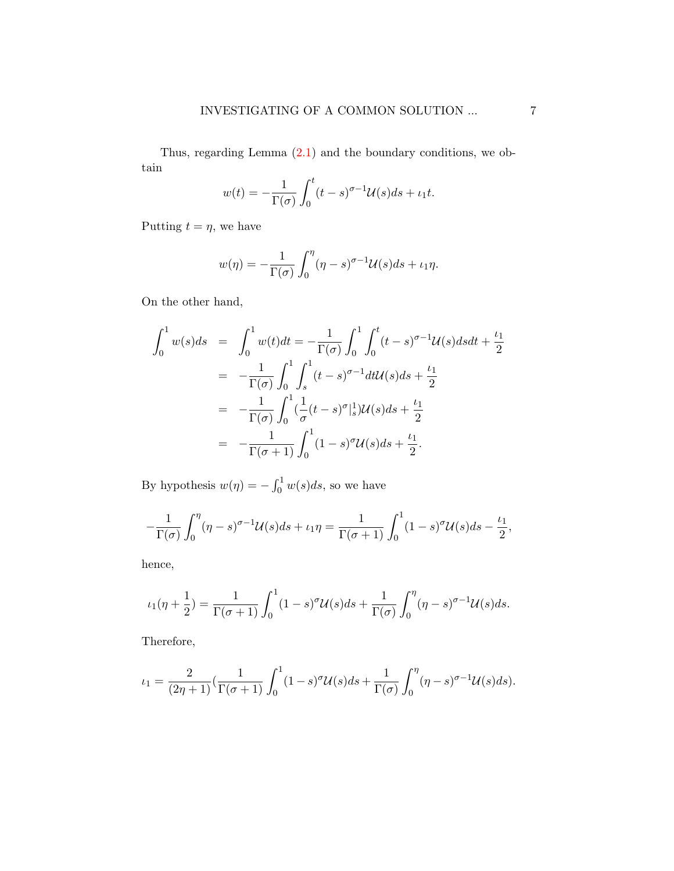Thus, regarding Lemma [\(2.1\)](#page-3-0) and the boundary conditions, we obtain

$$
w(t) = -\frac{1}{\Gamma(\sigma)} \int_0^t (t - s)^{\sigma - 1} \mathcal{U}(s) ds + \iota_1 t.
$$

Putting  $t = \eta$ , we have

$$
w(\eta) = -\frac{1}{\Gamma(\sigma)} \int_0^{\eta} (\eta - s)^{\sigma - 1} \mathcal{U}(s) ds + \iota_1 \eta.
$$

On the other hand,

$$
\int_0^1 w(s)ds = \int_0^1 w(t)dt = -\frac{1}{\Gamma(\sigma)} \int_0^1 \int_0^t (t-s)^{\sigma-1} \mathcal{U}(s)dsdt + \frac{\iota_1}{2}
$$
  
\n
$$
= -\frac{1}{\Gamma(\sigma)} \int_0^1 \int_s^1 (t-s)^{\sigma-1} dt \mathcal{U}(s)ds + \frac{\iota_1}{2}
$$
  
\n
$$
= -\frac{1}{\Gamma(\sigma)} \int_0^1 (\frac{1}{\sigma} (t-s)^{\sigma})^1_s \mathcal{U}(s)ds + \frac{\iota_1}{2}
$$
  
\n
$$
= -\frac{1}{\Gamma(\sigma+1)} \int_0^1 (1-s)^{\sigma} \mathcal{U}(s)ds + \frac{\iota_1}{2}.
$$

By hypothesis  $w(\eta) = -\int_0^1 w(s)ds$ , so we have

$$
-\frac{1}{\Gamma(\sigma)}\int_0^{\eta} (\eta - s)^{\sigma-1} \mathcal{U}(s) ds + \iota_1 \eta = \frac{1}{\Gamma(\sigma+1)}\int_0^1 (1 - s)^{\sigma} \mathcal{U}(s) ds - \frac{\iota_1}{2},
$$

hence,

$$
\iota_1(\eta+\frac{1}{2})=\frac{1}{\Gamma(\sigma+1)}\int_0^1(1-s)^\sigma\mathcal{U}(s)ds+\frac{1}{\Gamma(\sigma)}\int_0^\eta(\eta-s)^{\sigma-1}\mathcal{U}(s)ds.
$$

Therefore,

$$
\iota_1 = \frac{2}{(2\eta+1)} \left( \frac{1}{\Gamma(\sigma+1)} \int_0^1 (1-s)^\sigma \mathcal{U}(s) ds + \frac{1}{\Gamma(\sigma)} \int_0^\eta (\eta-s)^{\sigma-1} \mathcal{U}(s) ds \right).
$$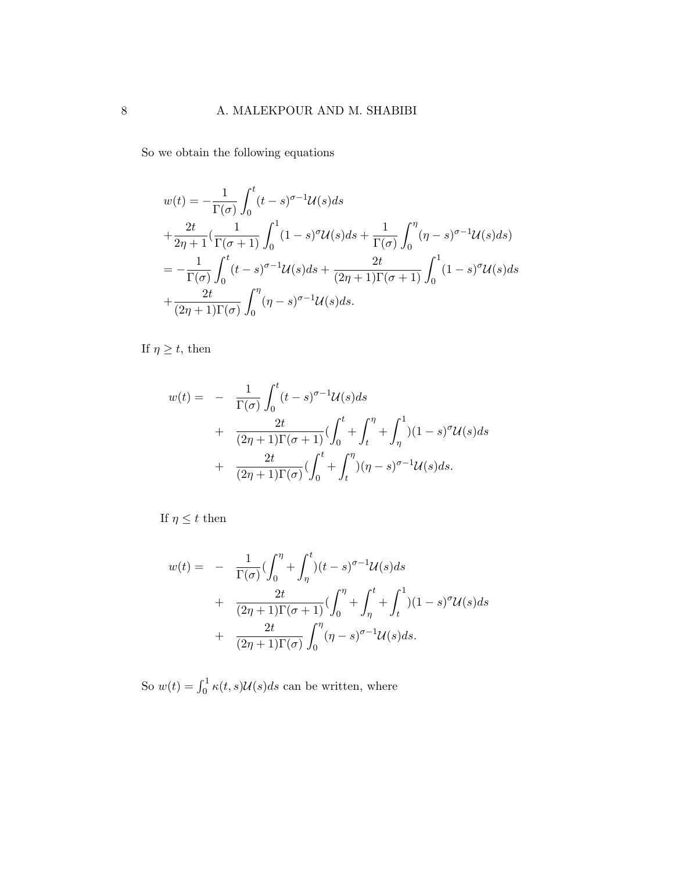So we obtain the following equations

$$
w(t) = -\frac{1}{\Gamma(\sigma)} \int_0^t (t-s)^{\sigma-1} \mathcal{U}(s) ds
$$
  
+ 
$$
\frac{2t}{2\eta+1} \left( \frac{1}{\Gamma(\sigma+1)} \int_0^1 (1-s)^{\sigma} \mathcal{U}(s) ds + \frac{1}{\Gamma(\sigma)} \int_0^{\eta} (\eta-s)^{\sigma-1} \mathcal{U}(s) ds \right)
$$
  
= 
$$
-\frac{1}{\Gamma(\sigma)} \int_0^t (t-s)^{\sigma-1} \mathcal{U}(s) ds + \frac{2t}{(2\eta+1)\Gamma(\sigma+1)} \int_0^1 (1-s)^{\sigma} \mathcal{U}(s) ds
$$
  
+ 
$$
\frac{2t}{(2\eta+1)\Gamma(\sigma)} \int_0^{\eta} (\eta-s)^{\sigma-1} \mathcal{U}(s) ds.
$$

If  $\eta \geq t$ , then

$$
w(t) = -\frac{1}{\Gamma(\sigma)} \int_0^t (t-s)^{\sigma-1} \mathcal{U}(s) ds
$$
  
+ 
$$
\frac{2t}{(2\eta+1)\Gamma(\sigma+1)} \left(\int_0^t + \int_t^{\eta} + \int_{\eta}^1 \right) (1-s)^{\sigma} \mathcal{U}(s) ds
$$
  
+ 
$$
\frac{2t}{(2\eta+1)\Gamma(\sigma)} \left(\int_0^t + \int_t^{\eta} \right) (\eta-s)^{\sigma-1} \mathcal{U}(s) ds.
$$

If  $\eta\leq t$  then

$$
w(t) = -\frac{1}{\Gamma(\sigma)} \left( \int_0^{\eta} + \int_{\eta}^t \right) (t - s)^{\sigma - 1} \mathcal{U}(s) ds
$$
  
+ 
$$
\frac{2t}{(2\eta + 1)\Gamma(\sigma + 1)} \left( \int_0^{\eta} + \int_{\eta}^t + \int_t^1 \right) (1 - s)^{\sigma} \mathcal{U}(s) ds
$$
  
+ 
$$
\frac{2t}{(2\eta + 1)\Gamma(\sigma)} \int_0^{\eta} (\eta - s)^{\sigma - 1} \mathcal{U}(s) ds.
$$

So  $w(t) = \int_0^1 \kappa(t, s) \mathcal{U}(s) ds$  can be written, where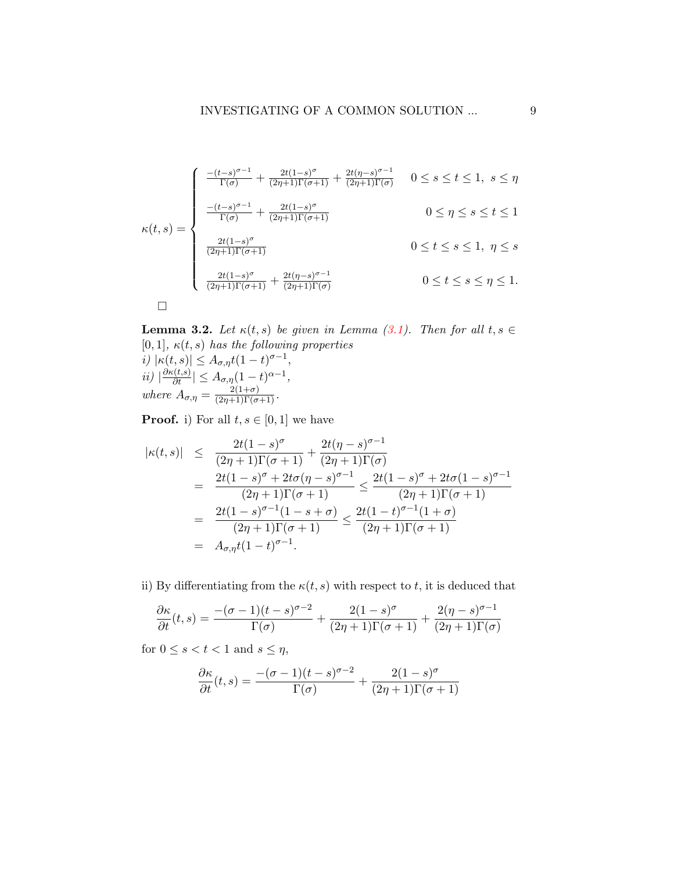$$
\kappa(t,s) = \begin{cases}\n\frac{-(t-s)^{\sigma-1}}{\Gamma(\sigma)} + \frac{2t(1-s)^{\sigma}}{(2\eta+1)\Gamma(\sigma+1)} + \frac{2t(\eta-s)^{\sigma-1}}{(2\eta+1)\Gamma(\sigma)} & 0 \le s \le t \le 1, \ s \le \eta \\
\frac{-(t-s)^{\sigma-1}}{\Gamma(\sigma)} + \frac{2t(1-s)^{\sigma}}{(2\eta+1)\Gamma(\sigma+1)} & 0 \le \eta \le s \le t \le 1 \\
\frac{2t(1-s)^{\sigma}}{(2\eta+1)\Gamma(\sigma+1)} & 0 \le t \le s \le 1, \ \eta \le s \\
\frac{2t(1-s)^{\sigma}}{(2\eta+1)\Gamma(\sigma+1)} + \frac{2t(\eta-s)^{\sigma-1}}{(2\eta+1)\Gamma(\sigma)} & 0 \le t \le s \le \eta \le 1.\n\end{cases}
$$

**Lemma 3.2.** Let  $\kappa(t, s)$  be given in Lemma [\(3.1\)](#page-4-0). Then for all  $t, s \in$ [0, 1],  $\kappa(t, s)$  has the following properties i)  $|\kappa(t,s)| \leq A_{\sigma,\eta} t (1-t)^{\sigma-1},$  $ii) \left| \frac{\partial \kappa(t,s)}{\partial t} \right| \leq A_{\sigma,\eta} (1-t)^{\alpha-1},$ where  $A_{\sigma,\eta} = \frac{2(1+\sigma)}{(2\eta+1)\Gamma(\sigma+1)}$ .

**Proof.** i) For all  $t, s \in [0, 1]$  we have

$$
|\kappa(t,s)| \leq \frac{2t(1-s)^{\sigma}}{(2\eta+1)\Gamma(\sigma+1)} + \frac{2t(\eta-s)^{\sigma-1}}{(2\eta+1)\Gamma(\sigma)}
$$
  
= 
$$
\frac{2t(1-s)^{\sigma} + 2t\sigma(\eta-s)^{\sigma-1}}{(2\eta+1)\Gamma(\sigma+1)} \leq \frac{2t(1-s)^{\sigma} + 2t\sigma(1-s)^{\sigma-1}}{(2\eta+1)\Gamma(\sigma+1)}
$$
  
= 
$$
\frac{2t(1-s)^{\sigma-1}(1-s+\sigma)}{(2\eta+1)\Gamma(\sigma+1)} \leq \frac{2t(1-t)^{\sigma-1}(1+\sigma)}{(2\eta+1)\Gamma(\sigma+1)}
$$
  
= 
$$
A_{\sigma,\eta}t(1-t)^{\sigma-1}.
$$

ii) By differentiating from the  $\kappa(t, s)$  with respect to t, it is deduced that

$$
\frac{\partial \kappa}{\partial t}(t,s) = \frac{-(\sigma-1)(t-s)^{\sigma-2}}{\Gamma(\sigma)} + \frac{2(1-s)^{\sigma}}{(2\eta+1)\Gamma(\sigma+1)} + \frac{2(\eta-s)^{\sigma-1}}{(2\eta+1)\Gamma(\sigma)}
$$

for  $0 \leq s < t < 1$  and  $s \leq \eta$ ,

$$
\frac{\partial \kappa}{\partial t}(t,s) = \frac{- (\sigma - 1)(t - s)^{\sigma - 2}}{\Gamma(\sigma)} + \frac{2(1 - s)^{\sigma}}{(2\eta + 1)\Gamma(\sigma + 1)}
$$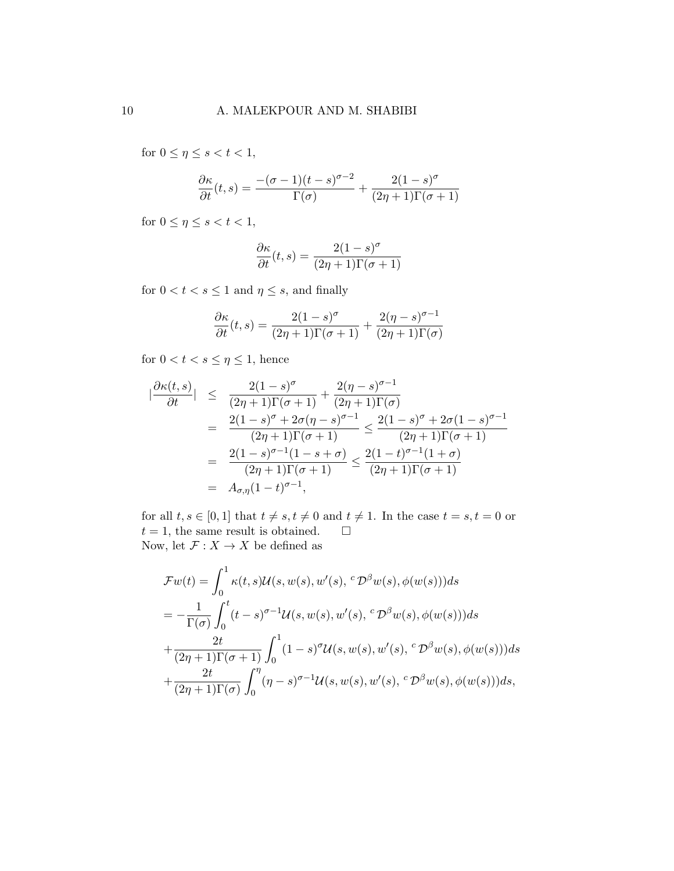for  $0 \leq \eta \leq s < t < 1$ ,

$$
\frac{\partial \kappa}{\partial t}(t,s) = \frac{-(\sigma-1)(t-s)^{\sigma-2}}{\Gamma(\sigma)} + \frac{2(1-s)^{\sigma}}{(2\eta+1)\Gamma(\sigma+1)}
$$

for  $0 \leq \eta \leq s < t < 1$ ,

$$
\frac{\partial \kappa}{\partial t}(t,s) = \frac{2(1-s)^\sigma}{(2\eta+1)\Gamma(\sigma+1)}
$$

for  $0 < t < s \leq 1$  and  $\eta \leq s$ , and finally

$$
\frac{\partial \kappa}{\partial t}(t,s) = \frac{2(1-s)^{\sigma}}{(2\eta+1)\Gamma(\sigma+1)} + \frac{2(\eta-s)^{\sigma-1}}{(2\eta+1)\Gamma(\sigma)}
$$

for  $0 < t < s \leq \eta \leq 1$ , hence

$$
\begin{array}{rcl}\n|\frac{\partial \kappa(t,s)}{\partial t}| & \leq & \frac{2(1-s)^{\sigma}}{(2\eta+1)\Gamma(\sigma+1)} + \frac{2(\eta-s)^{\sigma-1}}{(2\eta+1)\Gamma(\sigma)} \\
& = & \frac{2(1-s)^{\sigma} + 2\sigma(\eta-s)^{\sigma-1}}{(2\eta+1)\Gamma(\sigma+1)} \leq \frac{2(1-s)^{\sigma} + 2\sigma(1-s)^{\sigma-1}}{(2\eta+1)\Gamma(\sigma+1)} \\
& = & \frac{2(1-s)^{\sigma-1}(1-s+\sigma)}{(2\eta+1)\Gamma(\sigma+1)} \leq \frac{2(1-t)^{\sigma-1}(1+\sigma)}{(2\eta+1)\Gamma(\sigma+1)} \\
& = & A_{\sigma,\eta}(1-t)^{\sigma-1},\n\end{array}
$$

for all  $t, s \in [0, 1]$  that  $t \neq s, t \neq 0$  and  $t \neq 1$ . In the case  $t = s, t = 0$  or  $t = 1$ , the same result is obtained.  $\square$ Now, let  $\mathcal{F}:X\rightarrow X$  be defined as

$$
\mathcal{F}w(t) = \int_0^1 \kappa(t, s) \mathcal{U}(s, w(s), w'(s), \,^c \mathcal{D}^\beta w(s), \phi(w(s))) ds
$$
  
= 
$$
-\frac{1}{\Gamma(\sigma)} \int_0^t (t - s)^{\sigma - 1} \mathcal{U}(s, w(s), w'(s), \,^c \mathcal{D}^\beta w(s), \phi(w(s))) ds
$$
  
+ 
$$
\frac{2t}{(2\eta + 1)\Gamma(\sigma + 1)} \int_0^1 (1 - s)^\sigma \mathcal{U}(s, w(s), w'(s), \,^c \mathcal{D}^\beta w(s), \phi(w(s))) ds
$$
  
+ 
$$
\frac{2t}{(2\eta + 1)\Gamma(\sigma)} \int_0^\eta (\eta - s)^{\sigma - 1} \mathcal{U}(s, w(s), w'(s), \,^c \mathcal{D}^\beta w(s), \phi(w(s))) ds,
$$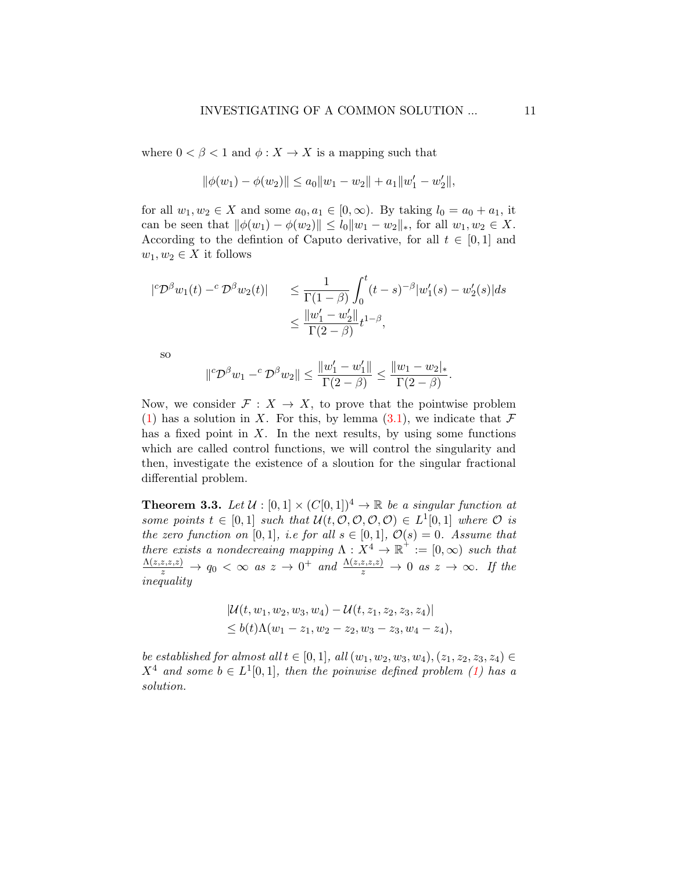where  $0 < \beta < 1$  and  $\phi: X \to X$  is a mapping such that

$$
\|\phi(w_1) - \phi(w_2)\| \le a_0\|w_1 - w_2\| + a_1\|w_1' - w_2'\|,
$$

for all  $w_1, w_2 \in X$  and some  $a_0, a_1 \in [0, \infty)$ . By taking  $l_0 = a_0 + a_1$ , it can be seen that  $\|\phi(w_1) - \phi(w_2)\| \le l_0 \|w_1 - w_2\|_*$ , for all  $w_1, w_2 \in X$ . According to the defintion of Caputo derivative, for all  $t \in [0,1]$  and  $w_1, w_2 \in X$  it follows

$$
|{}^c \mathcal{D}^{\beta} w_1(t) - {}^c \mathcal{D}^{\beta} w_2(t)| \leq \frac{1}{\Gamma(1-\beta)} \int_0^t (t-s)^{-\beta} |w'_1(s) - w'_2(s)| ds
$$
  

$$
\leq \frac{||w'_1 - w'_2||}{\Gamma(2-\beta)} t^{1-\beta},
$$

so

$$
\| {}^c \mathcal{D}^{\beta} w_1 - {}^c \mathcal{D}^{\beta} w_2 \| \leq \frac{\|w_1' - w_1'\|}{\Gamma(2-\beta)} \leq \frac{\|w_1 - w_2\|_*}{\Gamma(2-\beta)}.
$$

Now, we consider  $\mathcal{F}: X \to X$ , to prove that the pointwise problem [\(1\)](#page-1-0) has a solution in X. For this, by lemma  $(3.1)$ , we indicate that  $\mathcal F$ has a fixed point in  $X$ . In the next results, by using some functions which are called control functions, we will control the singularity and then, investigate the existence of a sloution for the singular fractional differential problem.

<span id="page-10-0"></span>**Theorem 3.3.** Let  $\mathcal{U} : [0,1] \times (C[0,1])^4 \rightarrow \mathbb{R}$  be a singular function at some points  $t \in [0,1]$  such that  $\mathcal{U}(t, \mathcal{O}, \mathcal{O}, \mathcal{O}, \mathcal{O}) \in L^1[0,1]$  where  $\mathcal O$  is the zero function on [0,1], i.e for all  $s \in [0, 1]$ ,  $\mathcal{O}(s) = 0$ . Assume that there exists a nondecreaing mapping  $\Lambda : X^4 \to \mathbb{R}^+ := [0, \infty)$  such that  $\frac{\Lambda(z,z,z,z)}{z}\to q_0\,<\,\infty\,$  as  $z\,\to\,0^+$  and  $\frac{\Lambda(z,z,z,z)}{z}\to 0$  as  $z\,\to\,\infty$ . If the inequality

$$
|\mathcal{U}(t, w_1, w_2, w_3, w_4) - \mathcal{U}(t, z_1, z_2, z_3, z_4)|
$$
  
\$\leq b(t)\Lambda(w\_1 - z\_1, w\_2 - z\_2, w\_3 - z\_3, w\_4 - z\_4),\$

be established for almost all  $t \in [0, 1]$ , all  $(w_1, w_2, w_3, w_4), (z_1, z_2, z_3, z_4) \in$  $X^4$  and some  $b \in L^1[0,1]$ , then the poinwise defined problem [\(1\)](#page-1-0) has a solution.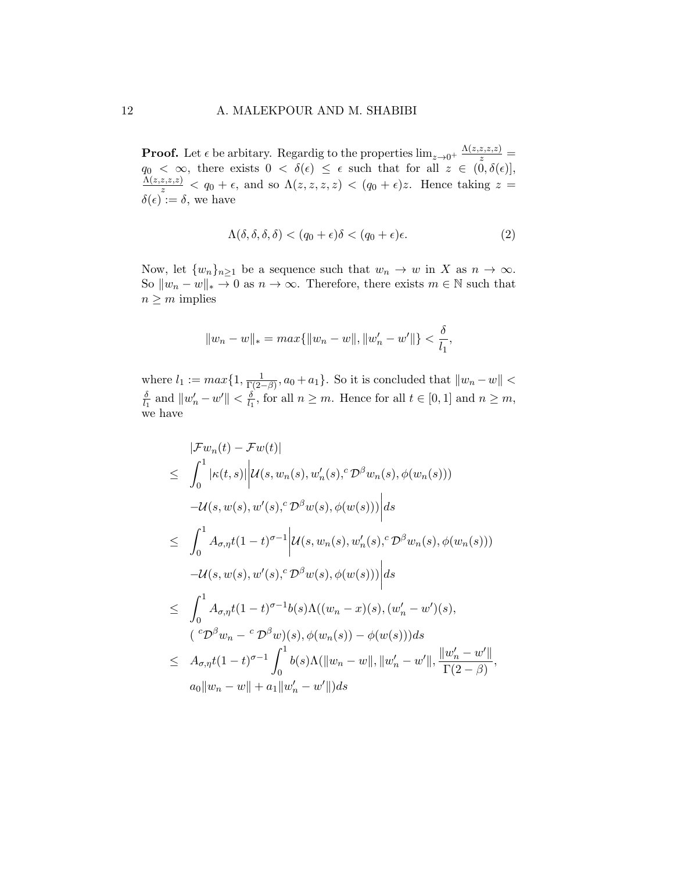**Proof.** Let  $\epsilon$  be arbitary. Regardig to the properties  $\lim_{z\to 0^+} \frac{\Lambda(z,z,z,z)}{z}$  $q_0 < \infty$ , there exists  $0 < \delta(\epsilon) \leq \epsilon$  such that for all  $z \in (0, \delta(\epsilon)],$  $\frac{\Lambda(z,z,z,z)}{z} < q_0 + \epsilon$ , and so  $\Lambda(z,z,z,z) < (q_0 + \epsilon)z$ . Hence taking  $z =$  $\delta(\epsilon) := \delta$ , we have

$$
\Lambda(\delta, \delta, \delta, \delta) < (q_0 + \epsilon)\delta < (q_0 + \epsilon)\epsilon. \tag{2}
$$

Now, let  $\{w_n\}_{n\geq 1}$  be a sequence such that  $w_n \to w$  in X as  $n \to \infty$ . So  $\|w_n - w\|_* \to 0$  as  $n \to \infty$ . Therefore, there exists  $m \in \mathbb{N}$  such that  $n \geq m$  implies

$$
||w_n - w||_* = max{||w_n - w||, ||w'_n - w'||} < \frac{\delta}{l_1},
$$

where  $l_1 := max\{1, \frac{1}{\Gamma(2)}\}$  $\frac{1}{\Gamma(2-\beta)}, a_0 + a_1$ . So it is concluded that  $||w_n - w|| <$ δ  $\frac{\delta}{l_1}$  and  $\|w'_n - w'\| < \frac{\delta}{l_1}$  $\frac{\delta}{l_1}$ , for all  $n \geq m$ . Hence for all  $t \in [0, 1]$  and  $n \geq m$ , we have

<span id="page-11-0"></span>
$$
|\mathcal{F}w_{n}(t) - \mathcal{F}w(t)|
$$
  
\n
$$
\leq \int_{0}^{1} |\kappa(t,s)| |u(s, w_{n}(s), w'_{n}(s), \mathcal{D}^{\beta}w_{n}(s), \phi(w_{n}(s)))
$$
  
\n
$$
-u(s, w(s), w'(s), \mathcal{D}^{\beta}w(s), \phi(w(s)))| ds
$$
  
\n
$$
\leq \int_{0}^{1} A_{\sigma, \eta}t(1-t)^{\sigma-1} |u(s, w_{n}(s), w'_{n}(s), \mathcal{D}^{\beta}w_{n}(s), \phi(w_{n}(s)))
$$
  
\n
$$
-u(s, w(s), w'(s), \mathcal{D}^{\beta}w(s), \phi(w(s)))| ds
$$
  
\n
$$
\leq \int_{0}^{1} A_{\sigma, \eta}t(1-t)^{\sigma-1}b(s)\Lambda((w_{n}-x)(s), (w'_{n}-w')(s),
$$
  
\n
$$
(\mathcal{D}^{\beta}w_{n}-\mathcal{D}^{\beta}w)(s), \phi(w_{n}(s)) - \phi(w(s))) ds
$$
  
\n
$$
\leq A_{\sigma, \eta}t(1-t)^{\sigma-1} \int_{0}^{1} b(s)\Lambda(||w_{n}-w||, ||w'_{n}-w'||, \frac{||w'_{n}-w'||}{\Gamma(2-\beta)},
$$
  
\n
$$
a_{0}||w_{n}-w||+a_{1}||w'_{n}-w'||) ds
$$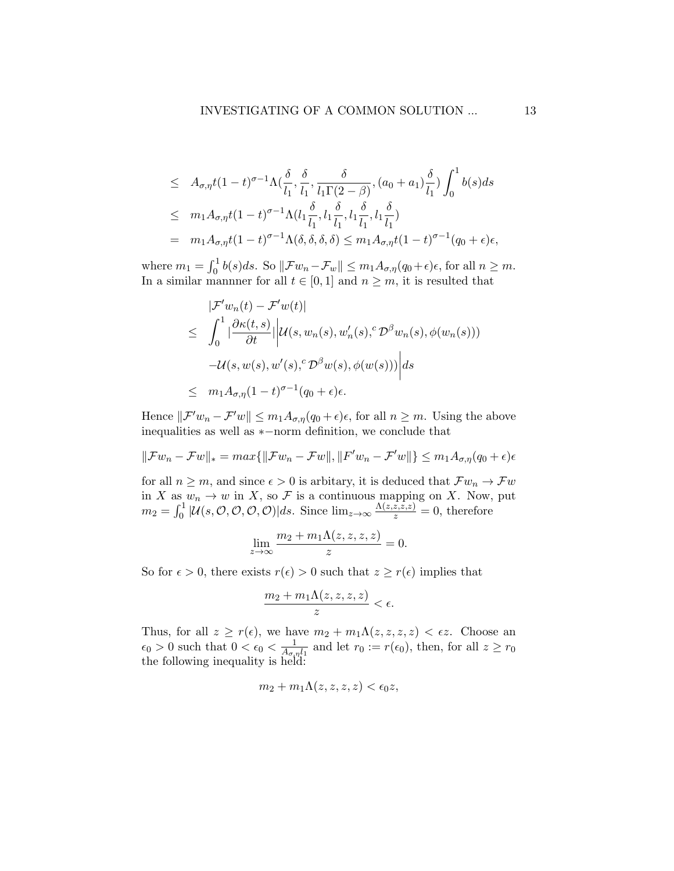$$
\leq A_{\sigma,\eta}t(1-t)^{\sigma-1}\Lambda(\frac{\delta}{l_1},\frac{\delta}{l_1},\frac{\delta}{l_1\Gamma(2-\beta)},(a_0+a_1)\frac{\delta}{l_1})\int_0^1b(s)ds
$$
  

$$
\leq m_1A_{\sigma,\eta}t(1-t)^{\sigma-1}\Lambda(l_1\frac{\delta}{l_1},l_1\frac{\delta}{l_1},l_1\frac{\delta}{l_1},l_1\frac{\delta}{l_1})
$$
  

$$
= m_1A_{\sigma,\eta}t(1-t)^{\sigma-1}\Lambda(\delta,\delta,\delta,\delta) \leq m_1A_{\sigma,\eta}t(1-t)^{\sigma-1}(q_0+\epsilon)\epsilon,
$$

where  $m_1 = \int_0^1 b(s)ds$ . So  $\|\mathcal{F}w_n - \mathcal{F}_w\| \leq m_1 A_{\sigma,\eta}(q_0 + \epsilon)\epsilon$ , for all  $n \geq m$ . In a similar mannner for all  $t \in [0, 1]$  and  $n \geq m$ , it is resulted that

$$
\begin{aligned}\n|\mathcal{F}'w_n(t) - \mathcal{F}'w(t)| \\
&\leq \int_0^1 |\frac{\partial \kappa(t,s)}{\partial t}| |\mathcal{U}(s,w_n(s),w'_n(s),\mathcal{D}^\beta w_n(s),\phi(w_n(s))) \\
-\mathcal{U}(s,w(s),w'(s),\mathcal{D}^\beta w(s),\phi(w(s)))| ds \\
&\leq m_1 A_{\sigma,\eta} (1-t)^{\sigma-1} (q_0 + \epsilon)\epsilon.\n\end{aligned}
$$

Hence  $\|\mathcal{F}'w_n - \mathcal{F}'w\| \leq m_1A_{\sigma,\eta}(q_0 + \epsilon)\epsilon$ , for all  $n \geq m$ . Using the above inequalities as well as ∗−norm definition, we conclude that

$$
\|\mathcal{F}w_n - \mathcal{F}w\|_{*} = \max\{\|\mathcal{F}w_n - \mathcal{F}w\|, \|F'w_n - \mathcal{F}'w\|\} \le m_1 A_{\sigma,\eta}(q_0 + \epsilon)\epsilon
$$

for all  $n \geq m$ , and since  $\epsilon > 0$  is arbitary, it is deduced that  $\mathcal{F}w_n \to \mathcal{F}w$ in X as  $w_n \to w$  in X, so F is a continuous mapping on X. Now, put  $m_2 = \int_0^1 |\mathcal{U}(s, \mathcal{O}, \mathcal{O}, \mathcal{O}, \mathcal{O})|ds.$  Since  $\lim_{z\to\infty} \frac{\Lambda(z, \overline{z}, \overline{z}, z)}{z} = 0$ , therefore

$$
\lim_{z \to \infty} \frac{m_2 + m_1 \Lambda(z, z, z, z)}{z} = 0.
$$

So for  $\epsilon > 0$ , there exists  $r(\epsilon) > 0$  such that  $z \geq r(\epsilon)$  implies that

$$
\frac{m_2+m_1\Lambda(z,z,z,z)}{z}<\epsilon.
$$

Thus, for all  $z \geq r(\epsilon)$ , we have  $m_2 + m_1 \Lambda(z, z, z, z) < \epsilon z$ . Choose an  $\epsilon_0 > 0$  such that  $0 < \epsilon_0 < \frac{1}{4\epsilon_0}$  $\frac{1}{A_{\sigma,\eta}l_1}$  and let  $r_0 := r(\epsilon_0)$ , then, for all  $z \geq r_0$ the following inequality is held:

$$
m_2 + m_1 \Lambda(z, z, z, z) < \epsilon_0 z,
$$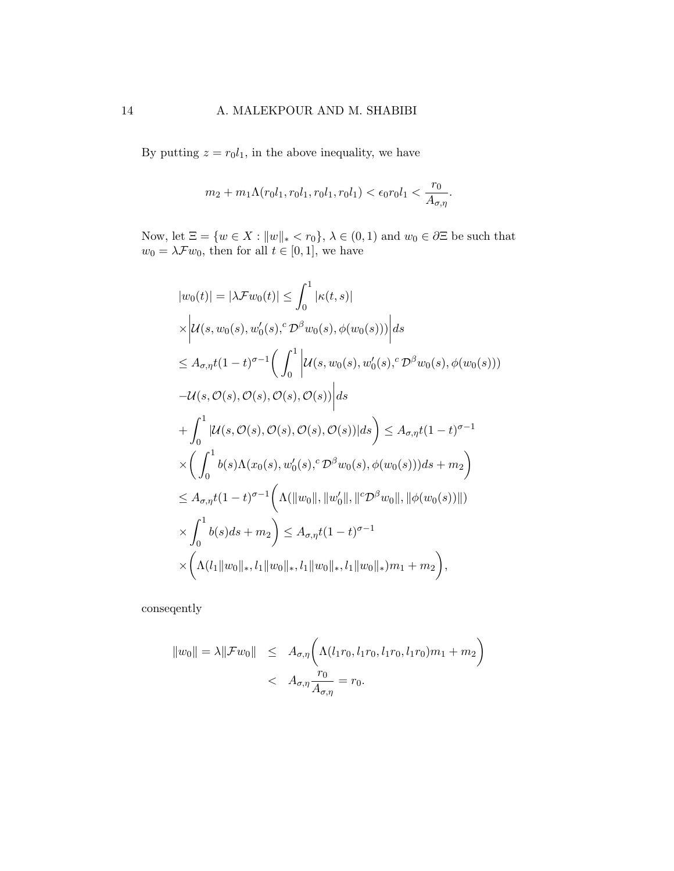By putting  $z = r_0 l_1$ , in the above inequality, we have

$$
m_2 + m_1 \Lambda(r_0 l_1, r_0 l_1, r_0 l_1, r_0 l_1) < \epsilon_0 r_0 l_1 < \frac{r_0}{A_{\sigma, \eta}}.
$$

Now, let  $\Xi = \{w \in X : ||w||_* < r_0\}$ ,  $\lambda \in (0, 1)$  and  $w_0 \in \partial \Xi$  be such that  $w_0 = \lambda \mathcal{F} w_0$ , then for all  $t \in [0,1]$ , we have

$$
|w_0(t)| = |\lambda \mathcal{F}w_0(t)| \leq \int_0^1 |\kappa(t, s)|
$$
  
\n
$$
\times |U(s, w_0(s), w_0'(s), \mathcal{D}^{\beta}w_0(s), \phi(w_0(s)))| ds
$$
  
\n
$$
\leq A_{\sigma, \eta} t (1 - t)^{\sigma - 1} \Big( \int_0^1 |U(s, w_0(s), w_0'(s), \mathcal{D}^{\beta}w_0(s), \phi(w_0(s)))
$$
  
\n
$$
-U(s, \mathcal{O}(s), \mathcal{O}(s), \mathcal{O}(s), \mathcal{O}(s))| ds
$$
  
\n
$$
+ \int_0^1 |U(s, \mathcal{O}(s), \mathcal{O}(s), \mathcal{O}(s), \mathcal{O}(s))| ds \Big) \leq A_{\sigma, \eta} t (1 - t)^{\sigma - 1}
$$
  
\n
$$
\times \Big( \int_0^1 b(s) \Lambda(x_0(s), w_0'(s), \mathcal{D}^{\beta}w_0(s), \phi(w_0(s))) ds + m_2 \Big)
$$
  
\n
$$
\leq A_{\sigma, \eta} t (1 - t)^{\sigma - 1} \Big( \Lambda(||w_0||, ||w_0'||, ||^c \mathcal{D}^{\beta}w_0||, ||\phi(w_0(s))||)
$$
  
\n
$$
\times \int_0^1 b(s) ds + m_2 \Big) \leq A_{\sigma, \eta} t (1 - t)^{\sigma - 1}
$$
  
\n
$$
\times \Big( \Lambda(t_1 ||w_0||_*, t_1 ||w_0||_*, t_1 ||w_0||_*, t_1 ||w_0||_*, t_1 ||w_0||_*) m_1 + m_2 \Big),
$$

conseqently

$$
||w_0|| = \lambda ||\mathcal{F}w_0|| \leq A_{\sigma,\eta} \bigg( \Lambda(l_1r_0, l_1r_0, l_1r_0, l_1r_0) m_1 + m_2 \bigg)  $A_{\sigma,\eta} \frac{r_0}{A_{\sigma,\eta}} = r_0.$
$$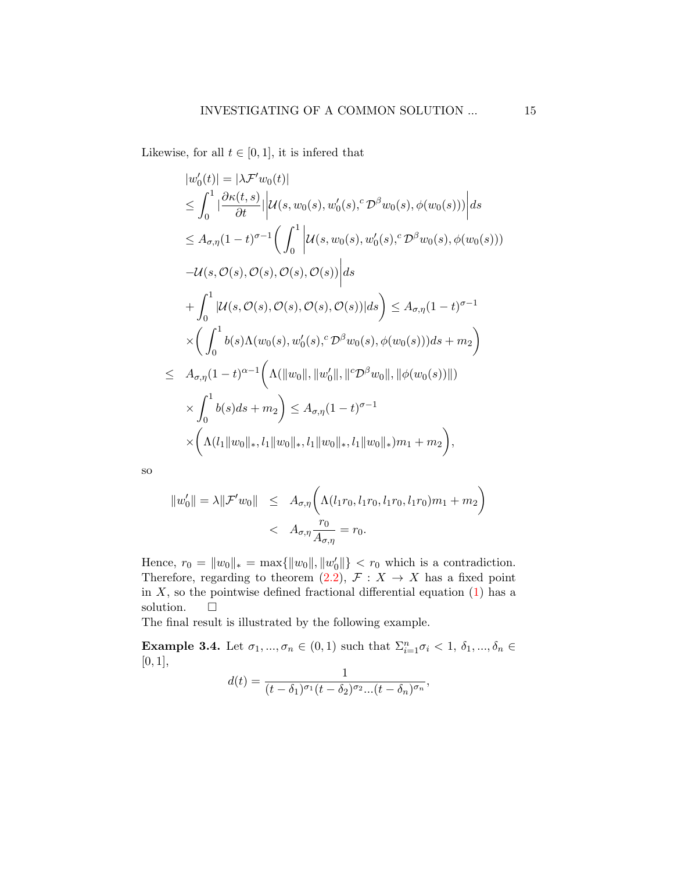Likewise, for all  $t \in [0, 1]$ , it is inferred that

$$
|w'_{0}(t)| = |\lambda \mathcal{F}'w_{0}(t)|
$$
  
\n
$$
\leq \int_{0}^{1} |\frac{\partial \kappa(t,s)}{\partial t}| \Big| \mathcal{U}(s,w_{0}(s),w'_{0}(s),{}^{c}\mathcal{D}^{\beta}w_{0}(s),\phi(w_{0}(s))) \Big| ds
$$
  
\n
$$
\leq A_{\sigma,\eta}(1-t)^{\sigma-1} \Big( \int_{0}^{1} \Big| \mathcal{U}(s,w_{0}(s),w'_{0}(s),{}^{c}\mathcal{D}^{\beta}w_{0}(s),\phi(w_{0}(s)))
$$
  
\n
$$
- \mathcal{U}(s,\mathcal{O}(s),\mathcal{O}(s),\mathcal{O}(s),\mathcal{O}(s)) \Big| ds
$$
  
\n
$$
+ \int_{0}^{1} |\mathcal{U}(s,\mathcal{O}(s),\mathcal{O}(s),\mathcal{O}(s),\mathcal{O}(s))| ds \Big) \leq A_{\sigma,\eta}(1-t)^{\sigma-1}
$$
  
\n
$$
\times \Big( \int_{0}^{1} b(s)\Lambda(w_{0}(s),w'_{0}(s),{}^{c}\mathcal{D}^{\beta}w_{0}(s),\phi(w_{0}(s)))ds + m_{2} \Big)
$$
  
\n
$$
\leq A_{\sigma,\eta}(1-t)^{\alpha-1} \Big( \Lambda(\|w_{0}\|, \|w'_{0}\|, \|{}^{c}\mathcal{D}^{\beta}w_{0}\|, \| \phi(w_{0}(s))\|)
$$
  
\n
$$
\times \int_{0}^{1} b(s)ds + m_{2} \Big) \leq A_{\sigma,\eta}(1-t)^{\sigma-1}
$$
  
\n
$$
\times \Big( \Lambda(t_{1} \|w_{0}\|_{*}, t_{1} \|w_{0}\|_{*}, t_{1} \|w_{0}\|_{*}, t_{1} \|w_{0}\|_{*})m_{1} + m_{2} \Big),
$$

so

$$
||w'_0|| = \lambda ||\mathcal{F}'w_0|| \leq A_{\sigma,\eta} \left( \Lambda(l_1r_0, l_1r_0, l_1r_0, l_1r_0) m_1 + m_2 \right)
$$
  
< 
$$
< A_{\sigma,\eta} \frac{r_0}{A_{\sigma,\eta}} = r_0.
$$

Hence,  $r_0 = ||w_0||_* = \max{||w_0||, ||w'_0||} < r_0$  which is a contradiction. Therefore, regarding to theorem [\(2.2\)](#page-4-1),  $\mathcal{F}: X \to X$  has a fixed point in  $X$ , so the pointwise defined fractional differential equation  $(1)$  has a solution.  $\Box$ 

The final result is illustrated by the following example.

**Example 3.4.** Let  $\sigma_1, ..., \sigma_n \in (0, 1)$  such that  $\sum_{i=1}^n \sigma_i < 1, \delta_1, ..., \delta_n \in$  $[0, 1],$ 

$$
d(t) = \frac{1}{(t-\delta_1)^{\sigma_1}(t-\delta_2)^{\sigma_2}...(t-\delta_n)^{\sigma_n}},
$$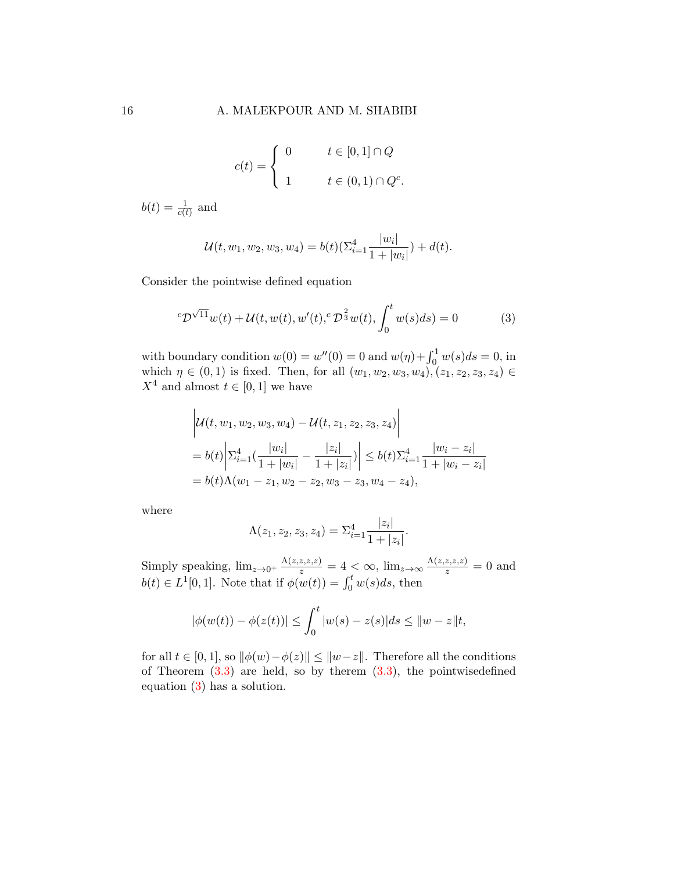$$
c(t) = \begin{cases} 0 & t \in [0,1] \cap Q \\ 1 & t \in (0,1) \cap Q^c. \end{cases}
$$

 $b(t) = \frac{1}{c(t)}$  and

$$
\mathcal{U}(t, w_1, w_2, w_3, w_4) = b(t)(\sum_{i=1}^4 \frac{|w_i|}{1+|w_i|}) + d(t).
$$

Consider the pointwise defined equation

$$
{}^{c}\mathcal{D}^{\sqrt{11}}w(t) + \mathcal{U}(t, w(t), w'(t), {}^{c}\mathcal{D}^{\frac{2}{3}}w(t), \int_{0}^{t} w(s)ds) = 0
$$
 (3)

with boundary condition  $w(0) = w''(0) = 0$  and  $w(\eta) + \int_0^1 w(s)ds = 0$ , in which  $\eta \in (0,1)$  is fixed. Then, for all  $(w_1, w_2, w_3, w_4), (z_1, z_2, z_3, z_4) \in$  $X^4$  and almost  $t \in [0,1]$  we have

<span id="page-15-0"></span>
$$
\left| \mathcal{U}(t, w_1, w_2, w_3, w_4) - \mathcal{U}(t, z_1, z_2, z_3, z_4) \right|
$$
  
=  $b(t) \left| \sum_{i=1}^4 \left( \frac{|w_i|}{1 + |w_i|} - \frac{|z_i|}{1 + |z_i|} \right) \right| \le b(t) \sum_{i=1}^4 \frac{|w_i - z_i|}{1 + |w_i - z_i|}$   
=  $b(t) \Lambda(w_1 - z_1, w_2 - z_2, w_3 - z_3, w_4 - z_4),$ 

where

$$
\Lambda(z_1, z_2, z_3, z_4) = \Sigma_{i=1}^4 \frac{|z_i|}{1 + |z_i|}.
$$

Simply speaking,  $\lim_{z\to 0^+} \frac{\Lambda(z,z,z,z)}{z} = 4 < \infty$ ,  $\lim_{z\to\infty} \frac{\Lambda(z,z,z,z)}{z} = 0$  and  $b(t) \in L^1[0,1]$ . Note that if  $\phi(w(t)) = \int_0^t w(s)ds$ , then

$$
|\phi(w(t)) - \phi(z(t))| \le \int_0^t |w(s) - z(s)| ds \le ||w - z||t,
$$

for all  $t \in [0,1]$ , so  $\|\phi(w)-\phi(z)\| \leq \|w-z\|$ . Therefore all the conditions of Theorem  $(3.3)$  are held, so by therem  $(3.3)$ , the pointwisedefined equation [\(3\)](#page-11-0) has a solution.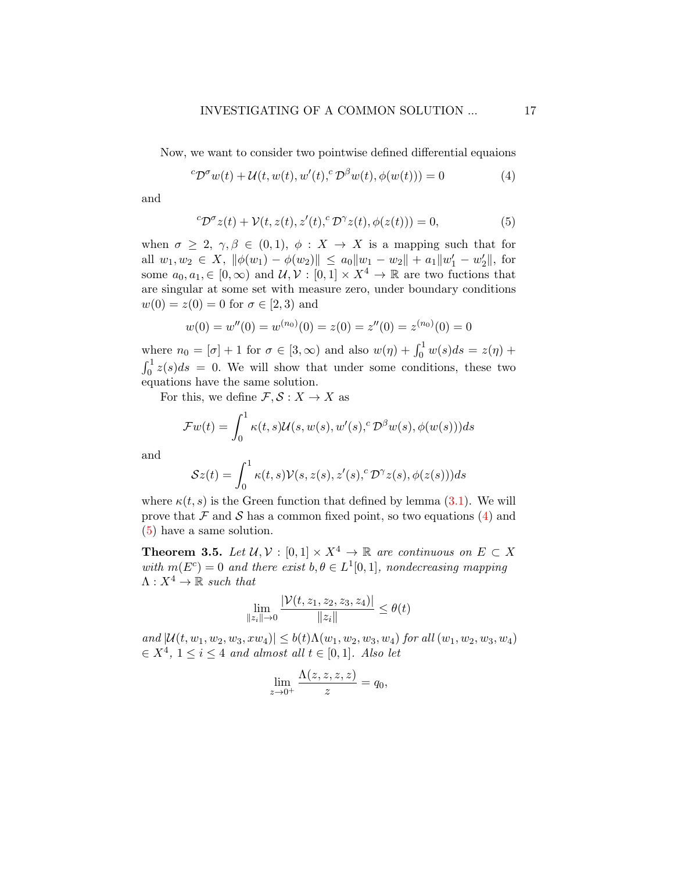Now, we want to consider two pointwise defined differential equaions

$$
{}^{c}\mathcal{D}^{\sigma}w(t) + \mathcal{U}(t, w(t), w'(t), {}^{c}\mathcal{D}^{\beta}w(t), \phi(w(t))) = 0 \tag{4}
$$

and

<span id="page-16-0"></span>
$$
{}^{c}\mathcal{D}^{\sigma}z(t) + \mathcal{V}(t, z(t), z'(t), {}^{c}\mathcal{D}^{\gamma}z(t), \phi(z(t))) = 0,
$$
\n<sup>(5)</sup>

when  $\sigma \geq 2$ ,  $\gamma, \beta \in (0,1)$ ,  $\phi: X \to X$  is a mapping such that for all  $w_1, w_2 \in X$ ,  $\|\phi(w_1) - \phi(w_2)\| \le a_0 \|w_1 - w_2\| + a_1 \|w_1' - w_2'\|$ , for some  $a_0, a_1 \in [0, \infty)$  and  $\mathcal{U}, \mathcal{V} : [0, 1] \times X^4 \to \mathbb{R}$  are two fuctions that are singular at some set with measure zero, under boundary conditions  $w(0) = z(0) = 0$  for  $\sigma \in [2, 3)$  and

$$
w(0) = w''(0) = w^{(n_0)}(0) = z(0) = z''(0) = z^{(n_0)}(0) = 0
$$

where  $n_0 = [\sigma] + 1$  for  $\sigma \in [3, \infty)$  and also  $w(\eta) + \int_0^1 w(s) ds = z(\eta) +$  $\int_0^1 z(s)ds = 0$ . We will show that under some conditions, these two equations have the same solution.

For this, we define  $\mathcal{F}, \mathcal{S}: X \to X$  as

$$
\mathcal{F}w(t) = \int_0^1 \kappa(t,s) \mathcal{U}(s,w(s),w'(s),^c \mathcal{D}^\beta w(s),\phi(w(s)))ds
$$

and

$$
Sz(t) = \int_0^1 \kappa(t,s) \mathcal{V}(s,z(s),z'(s),^c \mathcal{D}^{\gamma} z(s),\phi(z(s)))ds
$$

where  $\kappa(t, s)$  is the Green function that defined by lemma [\(3.1\)](#page-4-0). We will prove that  $\mathcal F$  and  $\mathcal S$  has a common fixed point, so two equations [\(4\)](#page-15-0) and [\(5\)](#page-16-0) have a same solution.

<span id="page-16-1"></span>**Theorem 3.5.** Let  $\mathcal{U}, \mathcal{V} : [0,1] \times X^4 \to \mathbb{R}$  are continuous on  $E \subset X$ with  $m(E^c) = 0$  and there exist  $b, \theta \in L^1[0,1]$ , nondecreasing mapping  $\Lambda : X^4 \to \mathbb{R}$  such that

$$
\lim_{\|z_i\| \to 0} \frac{|\mathcal{V}(t, z_1, z_2, z_3, z_4)|}{\|z_i\|} \le \theta(t)
$$

and  $|\mathcal{U}(t, w_1, w_2, w_3, xw_4)| \leq b(t)\Lambda(w_1, w_2, w_3, w_4)$  for all  $(w_1, w_2, w_3, w_4)$  $\in X^4$ ,  $1 \leq i \leq 4$  and almost all  $t \in [0,1]$ . Also let

$$
\lim_{z \to 0^+} \frac{\Lambda(z, z, z, z)}{z} = q_0,
$$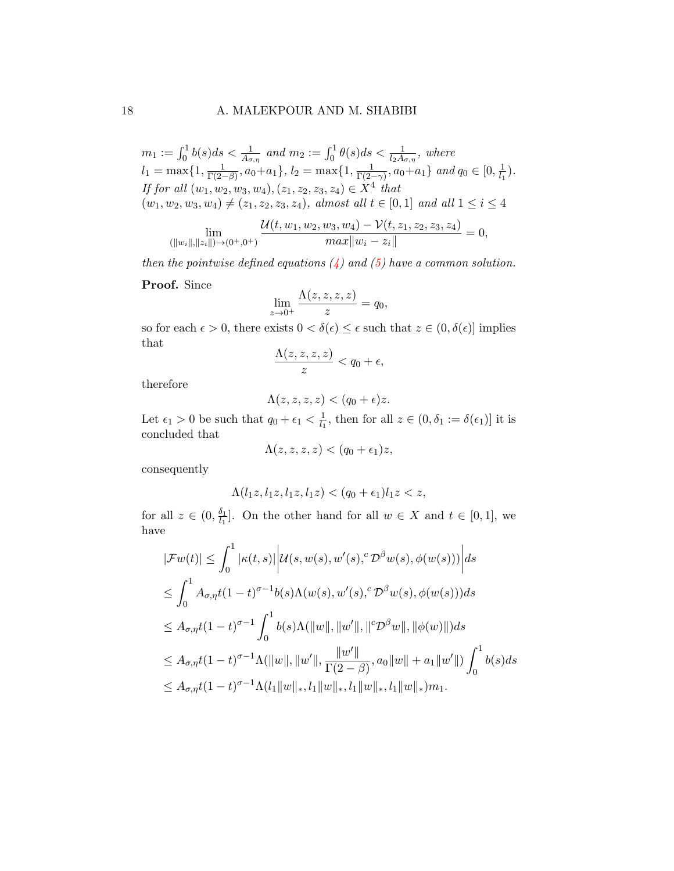#### 18 A. MALEKPOUR AND M. SHABIBI

 $m_1 := \int_0^1 b(s)ds < \frac{1}{A_{\sigma,\eta}}$  and  $m_2 := \int_0^1 \theta(s)ds < \frac{1}{l_2A_{\sigma,\eta}}$ , where  $l_1 = \max\{1, \frac{1}{\Gamma(2-1)}\}$  $\frac{1}{\Gamma(2-\beta)}, a_0+a_1\}, l_2=\max\{1, \frac{1}{\Gamma(2-\beta)}\}$  $\frac{1}{\Gamma(2-\gamma)}, a_0 + a_1 \}$  and  $q_0 \in [0, \frac{1}{l_1}]$  $\frac{1}{l_1}$ . If for all  $(w_1, w_2, w_3, w_4), (z_1, z_2, z_3, z_4) \in X^4$  that  $(w_1, w_2, w_3, w_4) \neq (z_1, z_2, z_3, z_4)$ , almost all  $t \in [0, 1]$  and all  $1 \leq i \leq 4$ 

$$
\lim_{(\|w_i\|, \|z_i\|)\to(0^+, 0^+)} \frac{\mathcal{U}(t, w_1, w_2, w_3, w_4) - \mathcal{V}(t, z_1, z_2, z_3, z_4)}{max\|w_i - z_i\|} = 0,
$$

then the pointwise defined equations  $(4)$  and  $(5)$  have a common solution.

Proof. Since

$$
\lim_{z \to 0^+} \frac{\Lambda(z, z, z, z)}{z} = q_0,
$$

so for each  $\epsilon > 0$ , there exists  $0 < \delta(\epsilon) \leq \epsilon$  such that  $z \in (0, \delta(\epsilon)]$  implies that

$$
\frac{\Lambda(z,z,z,z)}{z}
$$

therefore

$$
\Lambda(z, z, z, z) < (q_0 + \epsilon)z.
$$

Let  $\epsilon_1 > 0$  be such that  $q_0 + \epsilon_1 < \frac{1}{l_1}$  $\frac{1}{l_1}$ , then for all  $z \in (0, \delta_1 := \delta(\epsilon_1)]$  it is concluded that

$$
\Lambda(z, z, z, z) < (q_0 + \epsilon_1)z,
$$

consequently

$$
\Lambda(l_1z, l_1z, l_1z, l_1z) < (q_0 + \epsilon_1)l_1z < z,
$$

for all  $z \in (0, \frac{\delta_1}{l_1})$  $\frac{\delta_1}{l_1}$ . On the other hand for all  $w \in X$  and  $t \in [0,1]$ , we have

<span id="page-17-0"></span>
$$
|\mathcal{F}w(t)| \leq \int_0^1 |\kappa(t,s)| |u(s,w(s),w'(s),{}^c\mathcal{D}^{\beta}w(s),\phi(w(s)))| ds
$$
  
\n
$$
\leq \int_0^1 A_{\sigma,\eta}t(1-t)^{\sigma-1}b(s)\Lambda(w(s),w'(s),{}^c\mathcal{D}^{\beta}w(s),\phi(w(s))) ds
$$
  
\n
$$
\leq A_{\sigma,\eta}t(1-t)^{\sigma-1}\int_0^1 b(s)\Lambda(\|w\|, \|w'\|, \|{}^c\mathcal{D}^{\beta}w\|, \|\phi(w)\|) ds
$$
  
\n
$$
\leq A_{\sigma,\eta}t(1-t)^{\sigma-1}\Lambda(\|w\|, \|w'\|, \frac{\|w'\|}{\Gamma(2-\beta)}, a_0\|w\| + a_1\|w'\|)\int_0^1 b(s) ds
$$
  
\n
$$
\leq A_{\sigma,\eta}t(1-t)^{\sigma-1}\Lambda(l_1\|w\|_*, l_1\|w\|_*, l_1\|w\|_*, l_1\|w\|_*, l_1\|w\|_*, l_1\|w\|_*, l_1\|w\|_*, l_1\|w\|_*, l_1\|w\|_*, l_1\|w\|_*, l_1\|w\|_*, l_1\|w\|_*, l_1\|w\|_*, l_1\|w\|_*, l_1\|w\|_*, l_1\|w\|_*, l_1\|w\|_*, l_1\|w\|_*, l_1\|w\|_*, l_1\|w\|_*, l_1\|w\|_*, l_1\|w\|_*, l_1\|w\|_*, l_1\|w\|_*, l_1\|w\|_*, l_1\|w\|_*, l_1\|w\|_*, l_1\|w\|_*, l_1\|w\|_*, l_1\|w\|_*, l_1\|w\|_*, l_1\|w\|_*, l_1\|w\|_*, l_1\|w\|_*, l_1\|w\|_*, l_1\|w\|_*, l_1\|w\|_*, l_1\|w\|_*, l_1\|w\|_*, l_1\|w\|_*, l_1\|w\|_*, l_1\|w\|_*, l_1\|w\|_*, l_1\|w\|
$$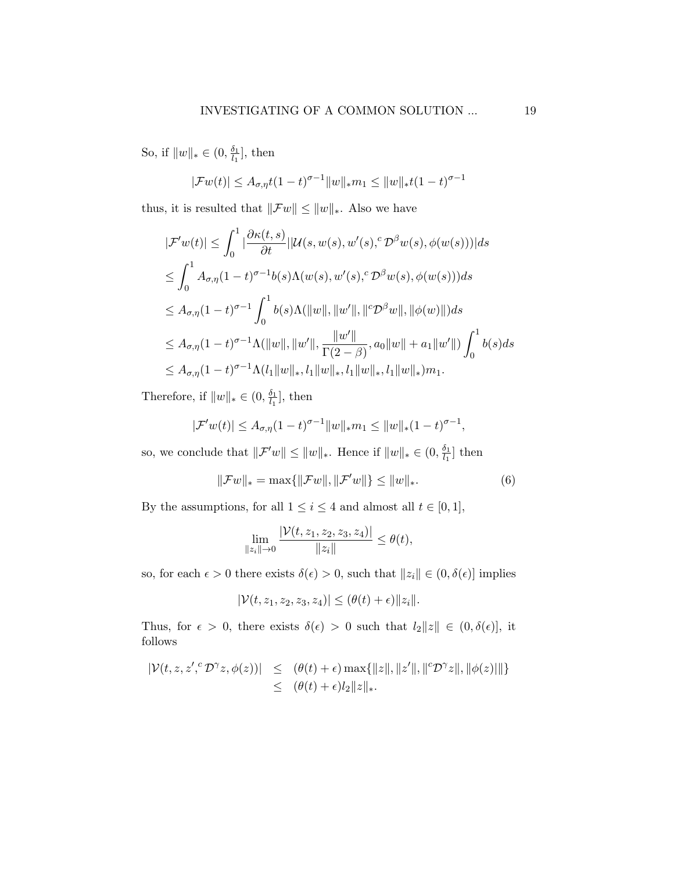So, if  $||w||_* \in (0, \frac{\delta_1}{l_1})$  $\frac{\delta_1}{l_1}$ , then

$$
|\mathcal{F}w(t)| \leq A_{\sigma,\eta}t(1-t)^{\sigma-1}||w||_*m_1 \leq ||w||_*t(1-t)^{\sigma-1}
$$

thus, it is resulted that  $\|\mathcal{F}w\|\leq \|w\|_*.$  Also we have

$$
|\mathcal{F}'w(t)| \leq \int_0^1 |\frac{\partial \kappa(t,s)}{\partial t}| |\mathcal{U}(s,w(s),w'(s),{}^c \mathcal{D}^\beta w(s),\phi(w(s)))| ds
$$
  
\n
$$
\leq \int_0^1 A_{\sigma,\eta}(1-t)^{\sigma-1} b(s) \Lambda(w(s),w'(s),{}^c \mathcal{D}^\beta w(s),\phi(w(s))) ds
$$
  
\n
$$
\leq A_{\sigma,\eta}(1-t)^{\sigma-1} \int_0^1 b(s) \Lambda(||w||, ||w'||, ||{}^c \mathcal{D}^\beta w||, ||\phi(w)||) ds
$$
  
\n
$$
\leq A_{\sigma,\eta}(1-t)^{\sigma-1} \Lambda(||w||, ||w'||, \frac{||w'||}{\Gamma(2-\beta)}, a_0 ||w|| + a_1 ||w'||) \int_0^1 b(s) ds
$$
  
\n
$$
\leq A_{\sigma,\eta}(1-t)^{\sigma-1} \Lambda(l_1 ||w||_*, l_1 ||w||_*, l_1 ||w||_*, l_1 ||w||_*, l_1 ||w||_*, l_1 ||w||_*, l_1 ||w||_*, l_1 ||w||_*, l_1 ||w||_*, l_1 ||w||_*, l_1 ||w||_*, l_1 ||w||_*, l_1 ||w||_*, l_1 ||w||_*, l_1 ||w||_*, l_1 ||w||_*, l_1 ||w||_*, l_1 ||w||_*, l_1 ||w||_*, l_1 ||w||_*, l_1 ||w||_*, l_1 ||w||_*, l_1 ||w||_*, l_1 ||w||_*, l_1 ||w||_*, l_1 ||w||_*, l_1 ||w||_*, l_1 ||w||_*, l_1 ||w||_*, l_1 ||w||_*, l_1 ||w||_*, l_1 ||w||_*, l_1 ||w||_*, l_1 ||w||_*, l_1 ||w||_*, l_1 ||w||_*, l_1 ||w||_*, l_1 ||w||_*, l_1 ||w||_*, l_1 ||w||_*, l_1 ||w||_*, l_1 ||w||_*, l_1 ||w||_*, l_1 ||w||_*, l_1 ||w||_*, l_1 ||w||_*, l_1 ||w||_*, l_1 ||w||_*, l_1 ||w||_*, l_1 ||w||_*, l_1 ||w||_*, l_1 ||w||_*, l_1 ||w||_*, l_1 ||w||_*, l_1 ||w||_*, l_1 ||w||_
$$

Therefore, if  $||w||_* \in (0, \frac{\delta_1}{l_1})$  $\frac{\delta_1}{l_1}$ , then

$$
|\mathcal{F}'w(t)| \leq A_{\sigma,\eta}(1-t)^{\sigma-1} ||w||_* m_1 \leq ||w||_*(1-t)^{\sigma-1},
$$

so, we conclude that  $\|\mathcal{F}'w\| \leq \|w\|_*$ . Hence if  $\|w\|_* \in (0, \frac{\delta_1}{l_*})$  $\frac{\delta_1}{l_1}$  then

$$
\|\mathcal{F}w\|_{*} = \max\{\|\mathcal{F}w\|, \|\mathcal{F}'w\|\} \le \|w\|_{*}.
$$
 (6)

By the assumptions, for all  $1\leq i\leq 4$  and almost all  $t\in [0,1],$ 

$$
\lim_{\|z_i\| \to 0} \frac{|\mathcal{V}(t, z_1, z_2, z_3, z_4)|}{\|z_i\|} \le \theta(t),
$$

so, for each  $\epsilon > 0$  there exists  $\delta(\epsilon) > 0$ , such that  $||z_i|| \in (0, \delta(\epsilon)]$  implies

$$
|\mathcal{V}(t, z_1, z_2, z_3, z_4)| \leq (\theta(t) + \epsilon) \|z_i\|.
$$

Thus, for  $\epsilon > 0$ , there exists  $\delta(\epsilon) > 0$  such that  $l_2||z|| \in (0, \delta(\epsilon)]$ , it follows

<span id="page-18-0"></span>
$$
|\mathcal{V}(t,z,z',\mathcal{D}^{\gamma}z,\phi(z))| \leq (\theta(t)+\epsilon) \max\{\|z\|,\|z'\|,\|\mathcal{D}^{\gamma}z\|,\|\phi(z)\|\}
$$
  

$$
\leq (\theta(t)+\epsilon)l_2\|z\|_*
$$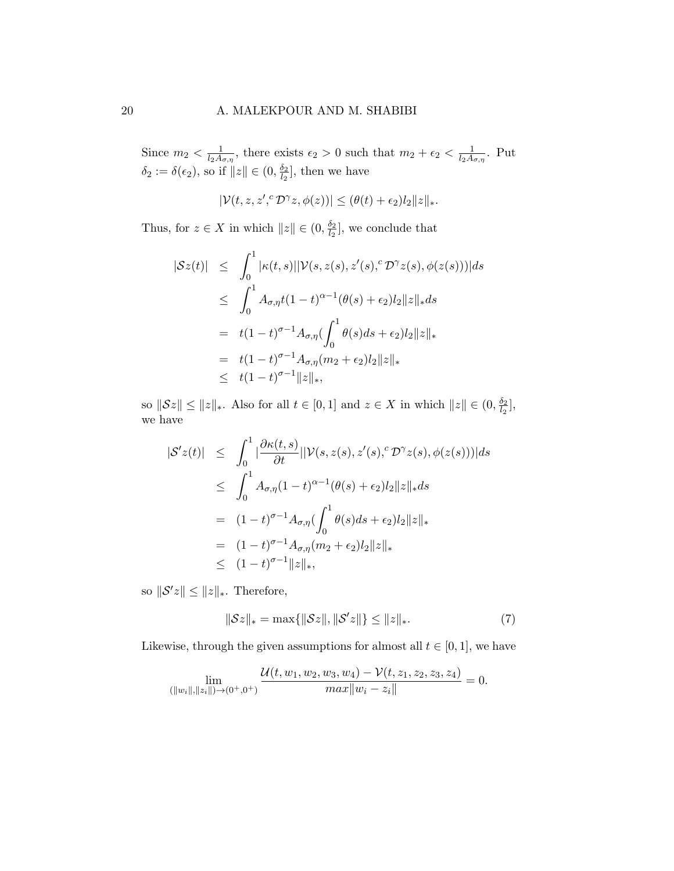Since  $m_2 < \frac{1}{l_2 A}$  $\frac{1}{l_2A_{\sigma,\eta}}$ , there exists  $\epsilon_2 > 0$  such that  $m_2 + \epsilon_2 < \frac{1}{l_2A_{\sigma,\eta}}$  $\frac{1}{l_2A_{\sigma,\eta}}$ . Put  $\delta_2 := \delta(\epsilon_2)$ , so if  $||z|| \in (0, \frac{\delta_2}{l_2})$  $\frac{\delta_2}{l_2}$ , then we have

$$
|\mathcal{V}(t,z,z',\mathcal{D}^{\gamma}z,\phi(z))| \leq (\theta(t)+\epsilon_2)l_2\|z\|_*.
$$

Thus, for  $z \in X$  in which  $||z|| \in (0, \frac{\delta_2}{\delta_0})$  $\frac{\delta_2}{l_2}$ , we conclude that

$$
|Sz(t)| \leq \int_0^1 |\kappa(t,s)| |\mathcal{V}(s,z(s),z'(s),{}^c\mathcal{D}^{\gamma}z(s),\phi(z(s)))| ds
$$
  
\n
$$
\leq \int_0^1 A_{\sigma,\eta} t(1-t)^{\alpha-1} (\theta(s) + \epsilon_2) l_2 ||z||_* ds
$$
  
\n
$$
= t(1-t)^{\sigma-1} A_{\sigma,\eta} (\int_0^1 \theta(s) ds + \epsilon_2) l_2 ||z||_*\n= t(1-t)^{\sigma-1} A_{\sigma,\eta} (m_2 + \epsilon_2) l_2 ||z||_*\n\leq t(1-t)^{\sigma-1} ||z||_*,
$$

so  $\|\mathcal{S}z\| \leq \|z\|_*$ . Also for all  $t \in [0,1]$  and  $z \in X$  in which  $\|z\| \in (0, \frac{\delta_2}{\delta_2})$  $\frac{\delta_2}{l_2}$ , we have

$$
|S'z(t)| \leq \int_0^1 |\frac{\partial \kappa(t,s)}{\partial t}| |\mathcal{V}(s,z(s),z'(s),{}^c\mathcal{D}^{\gamma}z(s),\phi(z(s)))|ds
$$
  
\n
$$
\leq \int_0^1 A_{\sigma,\eta}(1-t)^{\alpha-1}(\theta(s)+\epsilon_2)l_2||z||_*ds
$$
  
\n
$$
= (1-t)^{\sigma-1}A_{\sigma,\eta}(\int_0^1 \theta(s)ds+\epsilon_2)l_2||z||_*\n= (1-t)^{\sigma-1}A_{\sigma,\eta}(m_2+\epsilon_2)l_2||z||_*\n\leq (1-t)^{\sigma-1}||z||_*,
$$

so  $\|\mathcal{S}'z\| \leq \|z\|_*$ . Therefore,

$$
||\mathcal{S}z||_* = \max\{||\mathcal{S}z||, ||\mathcal{S}'z||\} \le ||z||_*.
$$
 (7)

Likewise, through the given assumptions for almost all  $t \in [0, 1]$ , we have

$$
\lim_{(\|w_i\|, \|z_i\|)\to(0^+, 0^+)} \frac{\mathcal{U}(t, w_1, w_2, w_3, w_4) - \mathcal{V}(t, z_1, z_2, z_3, z_4)}{max\|w_i - z_i\|} = 0.
$$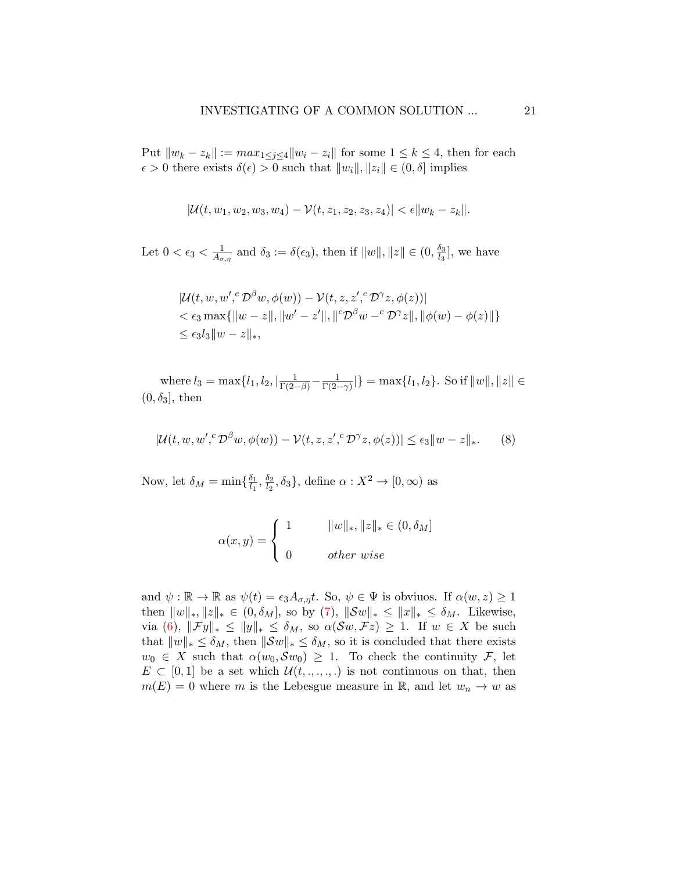Put  $\|w_k - z_k\| := \max_{1 \leq j \leq 4} \|w_i - z_i\|$  for some  $1 \leq k \leq 4$ , then for each  $\epsilon > 0$  there exists  $\delta(\epsilon) > 0$  such that  $||w_i||, ||z_i|| \in (0, \delta]$  implies

$$
|\mathcal{U}(t, w_1, w_2, w_3, w_4) - \mathcal{V}(t, z_1, z_2, z_3, z_4)| < \epsilon \|w_k - z_k\|.
$$

Let  $0 < \epsilon_3 < \frac{1}{4\epsilon}$  $\frac{1}{A_{\sigma,\eta}}$  and  $\delta_3 := \delta(\epsilon_3)$ , then if  $||w||, ||z|| \in (0, \frac{\delta_3}{l_3})$  $\frac{\delta_3}{l_3}$ , we have

<span id="page-20-0"></span>
$$
|\mathcal{U}(t, w, w', {}^c\mathcal{D}^{\beta}w, \phi(w)) - \mathcal{V}(t, z, z', {}^c\mathcal{D}^{\gamma}z, \phi(z))|
$$
  
<  $\epsilon_3 \max{\{\Vert w - z \Vert, \Vert w' - z' \Vert, \Vert {}^c\mathcal{D}^{\beta}w - {}^c\mathcal{D}^{\gamma}z \Vert, \Vert \phi(w) - \phi(z) \Vert\}}$   
 $\leq \epsilon_3 l_3 \Vert w - z \Vert_*,$ 

where  $l_3 = \max\{l_1, l_2, \lfloor \frac{1}{\Gamma(2-\beta)} - \frac{1}{\Gamma(2-\beta)} \rfloor\}$  $\frac{1}{\Gamma(2-\gamma)}|\} = \max\{l_1, l_2\}.$  So if  $||w||, ||z|| \in$  $(0, \delta_3]$ , then

$$
|\mathcal{U}(t, w, w', {}^c\mathcal{D}^\beta w, \phi(w)) - \mathcal{V}(t, z, z', {}^c\mathcal{D}^\gamma z, \phi(z))| \le \epsilon_3 \|w - z\|_*.
$$
 (8)

Now, let  $\delta_M = \min\{\frac{\delta_1}{l_1}\}$  $\frac{\delta_1}{l_1}, \frac{\delta_2}{l_2}$  $\frac{\delta_2}{\delta_2}, \delta_3$ , define  $\alpha: X^2 \to [0, \infty)$  as

$$
\alpha(x,y) = \begin{cases} 1 & ||w||_*, ||z||_* \in (0, \delta_M] \\ 0 & other \text{ }wise \end{cases}
$$

and  $\psi : \mathbb{R} \to \mathbb{R}$  as  $\psi(t) = \epsilon_3 A_{\sigma, \eta} t$ . So,  $\psi \in \Psi$  is obviuos. If  $\alpha(w, z) \geq 1$ then  $||w||_*, ||z||_* \in (0, \delta_M],$  so by [\(7\)](#page-18-0),  $||Sw||_* \le ||x||_* \le \delta_M$ . Likewise, via [\(6\)](#page-17-0),  $\|\mathcal{F}y\|_* \leq \|y\|_* \leq \delta_M$ , so  $\alpha(\mathcal{S}w, \mathcal{F}z) \geq 1$ . If  $w \in X$  be such that  $||w||_* \leq \delta_M$ , then  $||\mathcal{S}w||_* \leq \delta_M$ , so it is concluded that there exists  $w_0 \in X$  such that  $\alpha(w_0, \mathcal{S}w_0) \geq 1$ . To check the continuity F, let  $E \subset [0,1]$  be a set which  $\mathcal{U}(t, \ldots, \ldots)$  is not continuous on that, then  $m(E) = 0$  where m is the Lebesgue measure in R, and let  $w_n \to w$  as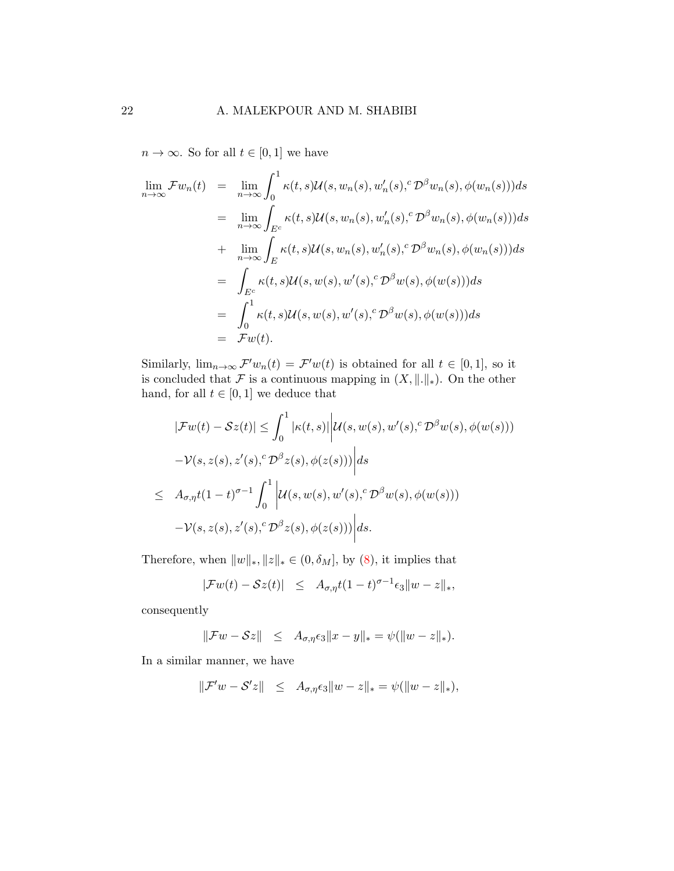$n \to \infty$ . So for all  $t \in [0,1]$  we have

$$
\lim_{n \to \infty} \mathcal{F}w_n(t) = \lim_{n \to \infty} \int_0^1 \kappa(t, s) \mathcal{U}(s, w_n(s), w'_n(s), {}^c\mathcal{D}^{\beta}w_n(s), \phi(w_n(s))) ds \n= \lim_{n \to \infty} \int_{E^c} \kappa(t, s) \mathcal{U}(s, w_n(s), w'_n(s), {}^c\mathcal{D}^{\beta}w_n(s), \phi(w_n(s))) ds \n+ \lim_{n \to \infty} \int_E \kappa(t, s) \mathcal{U}(s, w_n(s), w'_n(s), {}^c\mathcal{D}^{\beta}w_n(s), \phi(w_n(s))) ds \n= \int_{E^c} \kappa(t, s) \mathcal{U}(s, w(s), w'(s), {}^c\mathcal{D}^{\beta}w(s), \phi(w(s))) ds \n= \int_0^1 \kappa(t, s) \mathcal{U}(s, w(s), w'(s), {}^c\mathcal{D}^{\beta}w(s), \phi(w(s))) ds \n= \mathcal{F}w(t).
$$

Similarly,  $\lim_{n\to\infty} \mathcal{F}'w_n(t) = \mathcal{F}'w(t)$  is obtained for all  $t \in [0,1]$ , so it is concluded that F is a continuous mapping in  $(X, \|\cdot\|_*)$ . On the other hand, for all  $t \in [0, 1]$  we deduce that

$$
|\mathcal{F}w(t) - \mathcal{S}z(t)| \leq \int_0^1 |\kappa(t,s)| \left| \mathcal{U}(s, w(s), w'(s), \mathcal{D}^{\beta}w(s), \phi(w(s))) - \mathcal{V}(s, z(s), z'(s), \mathcal{D}^{\beta}z(s), \phi(z(s))) \right| ds
$$
  

$$
\leq A_{\sigma,\eta}t(1-t)^{\sigma-1} \int_0^1 \left| \mathcal{U}(s, w(s), w'(s), \mathcal{D}^{\beta}w(s), \phi(w(s))) - \mathcal{V}(s, z(s), z'(s), \mathcal{D}^{\beta}z(s), \phi(z(s))) \right| ds.
$$

Therefore, when  $||w||_*, ||z||_* \in (0, \delta_M]$ , by  $(8)$ , it implies that

$$
|\mathcal{F}w(t) - \mathcal{S}z(t)| \leq A_{\sigma,\eta}t(1-t)^{\sigma-1}\epsilon_3||w-z||_*,
$$

consequently

$$
\|\mathcal{F}w - \mathcal{S}z\| \leq A_{\sigma,\eta}\epsilon_3\|x - y\|_{*} = \psi(\|w - z\|_{*}).
$$

In a similar manner, we have

$$
\|\mathcal{F}'w-\mathcal{S}'z\|\quad \leq\quad A_{\sigma,\eta}\epsilon_3\|w-z\|_*=\psi(\|w-z\|_*),
$$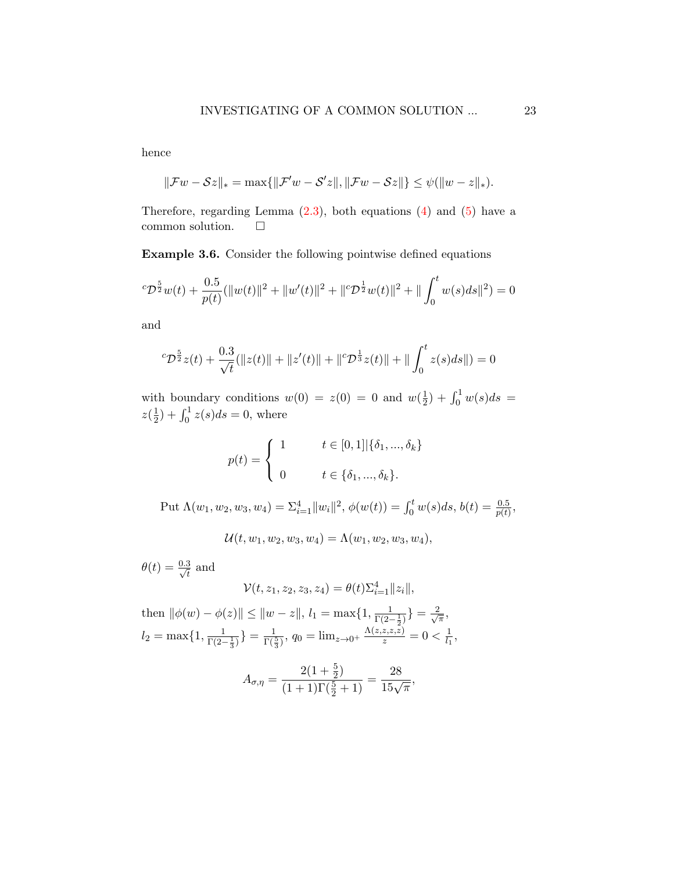hence

$$
\|\mathcal{F}w - \mathcal{S}z\|_{*} = \max\{\|\mathcal{F}'w - \mathcal{S}'z\|, \|\mathcal{F}w - \mathcal{S}z\|\} \leq \psi(\|w - z\|_{*}).
$$

Therefore, regarding Lemma  $(2.3)$ , both equations  $(4)$  and  $(5)$  have a common solution.

Example 3.6. Consider the following pointwise defined equations

$$
{}^{c}\mathcal{D}^{\frac{5}{2}}w(t) + \frac{0.5}{p(t)}(\|w(t)\|^{2} + \|w'(t)\|^{2} + \|{}^{c}\mathcal{D}^{\frac{1}{2}}w(t)\|^{2} + \|\int_{0}^{t}w(s)ds\|^{2}) = 0
$$

and

$$
{}^{c}\mathcal{D}^{\frac{5}{2}}z(t) + \frac{0.3}{\sqrt{t}}(||z(t)|| + ||z'(t)|| + ||^{c}\mathcal{D}^{\frac{1}{3}}z(t)|| + ||\int_{0}^{t} z(s)ds||) = 0
$$

with boundary conditions  $w(0) = z(0) = 0$  and  $w(\frac{1}{2})$  $(\frac{1}{2}) + \int_0^1 w(s) ds =$  $z(\frac{1}{2})$  $(\frac{1}{2}) + \int_0^1 z(s)ds = 0$ , where

$$
p(t) = \begin{cases} 1 & t \in [0,1] | \{\delta_1, ..., \delta_k\} \\ 0 & t \in \{\delta_1, ..., \delta_k\}. \end{cases}
$$

Put  $\Lambda(w_1, w_2, w_3, w_4) = \sum_{i=1}^4 ||w_i||^2$ ,  $\phi(w(t)) = \int_0^t w(s)ds$ ,  $b(t) = \frac{0.5}{p(t)}$ ,

 $U(t, w_1, w_2, w_3, w_4) = \Lambda(w_1, w_2, w_3, w_4),$ 

 $\theta(t) = \frac{0.3}{\sqrt{t}}$  and

$$
\mathcal{V}(t,z_1,z_2,z_3,z_4)=\theta(t)\Sigma_{i=1}^4\|z_i\|,
$$

then  $\|\phi(w) - \phi(z)\| \leq \|w - z\|, l_1 = \max\{1, \frac{1}{\Gamma(2-\frac{1}{2})}\} = \frac{2}{\sqrt{2}}$  $\frac{1}{\pi}$ ,  $l_2 = \max\{1, \frac{1}{\Gamma(2-\frac{1}{3})}\} = \frac{1}{\Gamma(\frac{5}{3})}, q_0 = \lim_{z \to 0^+} \frac{\Lambda(z, z, z, z)}{z} = 0 < \frac{1}{l_1}$  $\frac{1}{l_1}$ 

$$
A_{\sigma,\eta} = \frac{2(1+\frac{5}{2})}{(1+1)\Gamma(\frac{5}{2}+1)} = \frac{28}{15\sqrt{\pi}},
$$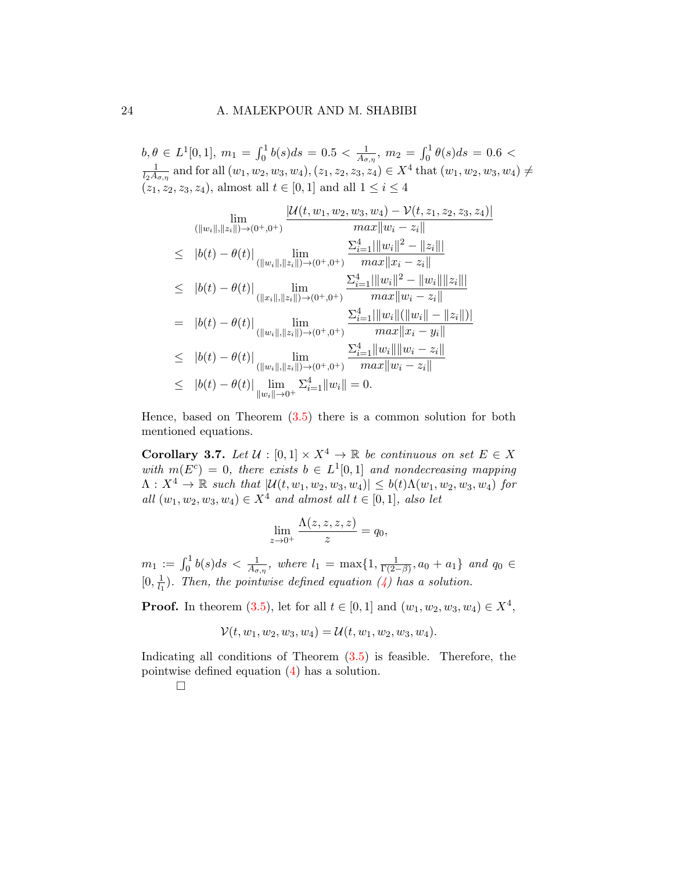$b, \theta \in L^1[0,1], m_1 = \int_0^1 b(s) ds = 0.5 < \frac{1}{A_\sigma}$  $\frac{1}{A_{\sigma,\eta}}, m_2 = \int_0^1 \theta(s) ds = 0.6$ 1  $\frac{1}{l_2A_{\sigma,\eta}}$  and for all  $(w_1, w_2, w_3, w_4), (z_1, z_2, z_3, z_4) \in X^4$  that  $(w_1, w_2, w_3, w_4) \neq$  $(z_1, z_2, z_3, z_4)$ , almost all  $t \in [0, 1]$  and all  $1 \le i \le 4$ 

$$
\lim_{(||w_i||, ||z_i||) \to (0^+, 0^+)} \frac{|\mathcal{U}(t, w_1, w_2, w_3, w_4) - \mathcal{V}(t, z_1, z_2, z_3, z_4)|}{max||w_i - z_i||}
$$
\n
$$
\leq |b(t) - \theta(t)| \lim_{(||w_i||, ||z_i||) \to (0^+, 0^+)} \frac{\sum_{i=1}^4 |||w_i||^2 - ||z_i|||}{max||x_i - z_i||}
$$
\n
$$
\leq |b(t) - \theta(t)| \lim_{(||x_i||, ||z_i||) \to (0^+, 0^+)} \frac{\sum_{i=1}^4 |||w_i||^2 - ||w_i|| ||z_i|||}{max||w_i - z_i||}
$$
\n
$$
= |b(t) - \theta(t)| \lim_{(||w_i||, ||z_i||) \to (0^+, 0^+)} \frac{\sum_{i=1}^4 |||w_i|| (||w_i|| - ||z_i||)|}{max||x_i - y_i||}
$$
\n
$$
\leq |b(t) - \theta(t)| \lim_{(||w_i||, ||z_i||) \to (0^+, 0^+)} \frac{\sum_{i=1}^4 ||w_i|| ||w_i - z_i||}{max||w_i - z_i||}
$$
\n
$$
\leq |b(t) - \theta(t)| \lim_{||w_i|| \to 0^+} \sum_{i=1}^4 ||w_i|| = 0.
$$

Hence, based on Theorem [\(3.5\)](#page-16-1) there is a common solution for both mentioned equations.

Corollary 3.7. Let  $\mathcal{U} : [0,1] \times X^4 \to \mathbb{R}$  be continuous on set  $E \in X$ with  $m(E^c) = 0$ , there exists  $b \in L^1[0,1]$  and nondecreasing mapping  $\Lambda: X^4 \to \mathbb{R}$  such that  $|\mathcal{U}(t, w_1, w_2, w_3, w_4)| \leq b(t)\Lambda(w_1, w_2, w_3, w_4)$  for all  $(w_1, w_2, w_3, w_4) \in X^4$  and almost all  $t \in [0, 1]$ , also let

$$
\lim_{z \to 0^+} \frac{\Lambda(z, z, z, z)}{z} = q_0,
$$

 $m_1 := \int_0^1 b(s)ds < \frac{1}{A_{\sigma,\eta}}$ , where  $l_1 = \max\{1, \frac{1}{\Gamma(2-\eta)}\}$  $\frac{1}{\Gamma(2-\beta)}, a_0 + a_1$ } and  $q_0 \in$  $[0, \frac{1}{l_1}]$  $\frac{1}{l_1}$ ). Then, the pointwise defined equation [\(4\)](#page-15-0) has a solution.

**Proof.** In theorem [\(3.5\)](#page-16-1), let for all  $t \in [0, 1]$  and  $(w_1, w_2, w_3, w_4) \in X^4$ ,

$$
\mathcal{V}(t, w_1, w_2, w_3, w_4) = \mathcal{U}(t, w_1, w_2, w_3, w_4).
$$

Indicating all conditions of Theorem  $(3.5)$  is feasible. Therefore, the pointwise defined equation [\(4\)](#page-15-0) has a solution.

 $\Box$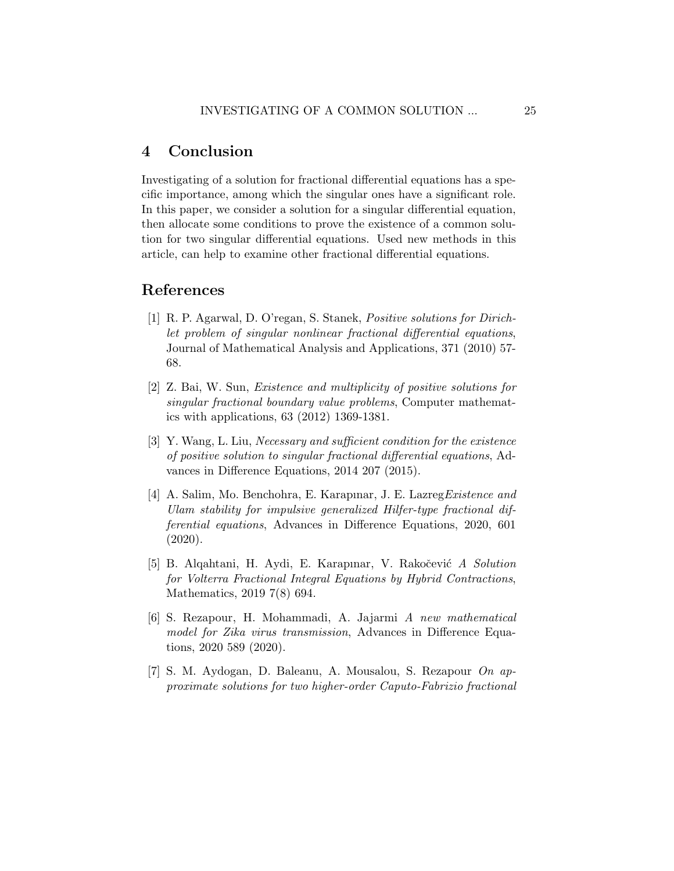## 4 Conclusion

Investigating of a solution for fractional differential equations has a specific importance, among which the singular ones have a significant role. In this paper, we consider a solution for a singular differential equation, then allocate some conditions to prove the existence of a common solution for two singular differential equations. Used new methods in this article, can help to examine other fractional differential equations.

## References

- <span id="page-24-0"></span>[1] R. P. Agarwal, D. O'regan, S. Stanek, Positive solutions for Dirichlet problem of singular nonlinear fractional differential equations, Journal of Mathematical Analysis and Applications, 371 (2010) 57- 68.
- [2] Z. Bai, W. Sun, Existence and multiplicity of positive solutions for singular fractional boundary value problems, Computer mathematics with applications, 63 (2012) 1369-1381.
- [3] Y. Wang, L. Liu, Necessary and sufficient condition for the existence of positive solution to singular fractional differential equations, Advances in Difference Equations, 2014 207 (2015).
- [4] A. Salim, Mo. Benchohra, E. Karapınar, J. E. Lazreg Existence and Ulam stability for impulsive generalized Hilfer-type fractional differential equations, Advances in Difference Equations, 2020, 601 (2020).
- [5] B. Alqahtani, H. Aydi, E. Karapınar, V. Rakočević A Solution for Volterra Fractional Integral Equations by Hybrid Contractions, Mathematics, 2019 7(8) 694.
- [6] S. Rezapour, H. Mohammadi, A. Jajarmi A new mathematical model for Zika virus transmission, Advances in Difference Equations, 2020 589 (2020).
- <span id="page-24-1"></span>[7] S. M. Aydogan, D. Baleanu, A. Mousalou, S. Rezapour On approximate solutions for two higher-order Caputo-Fabrizio fractional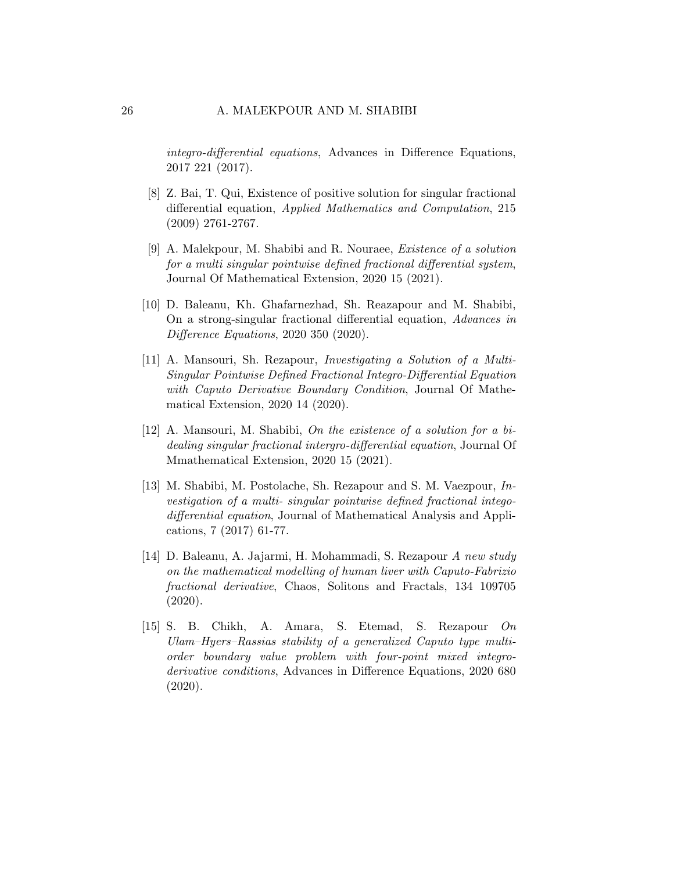integro-differential equations, Advances in Difference Equations, 2017 221 (2017).

- <span id="page-25-0"></span>[8] Z. Bai, T. Qui, Existence of positive solution for singular fractional differential equation, Applied Mathematics and Computation, 215 (2009) 2761-2767.
- [9] A. Malekpour, M. Shabibi and R. Nouraee, Existence of a solution for a multi singular pointwise defined fractional differential system, Journal Of Mathematical Extension, 2020 15 (2021).
- [10] D. Baleanu, Kh. Ghafarnezhad, Sh. Reazapour and M. Shabibi, On a strong-singular fractional differential equation, Advances in Difference Equations, 2020 350 (2020).
- [11] A. Mansouri, Sh. Rezapour, Investigating a Solution of a Multi-Singular Pointwise Defined Fractional Integro-Differential Equation with Caputo Derivative Boundary Condition, Journal Of Mathematical Extension, 2020 14 (2020).
- [12] A. Mansouri, M. Shabibi, On the existence of a solution for a bidealing singular fractional intergro-differential equation, Journal Of Mmathematical Extension, 2020 15 (2021).
- <span id="page-25-1"></span>[13] M. Shabibi, M. Postolache, Sh. Rezapour and S. M. Vaezpour, Investigation of a multi- singular pointwise defined fractional integodifferential equation, Journal of Mathematical Analysis and Applications, 7 (2017) 61-77.
- <span id="page-25-2"></span>[14] D. Baleanu, A. Jajarmi, H. Mohammadi, S. Rezapour A new study on the mathematical modelling of human liver with Caputo-Fabrizio fractional derivative, Chaos, Solitons and Fractals, 134 109705 (2020).
- [15] S. B. Chikh, A. Amara, S. Etemad, S. Rezapour On Ulam–Hyers–Rassias stability of a generalized Caputo type multiorder boundary value problem with four-point mixed integroderivative conditions, Advances in Difference Equations, 2020 680 (2020).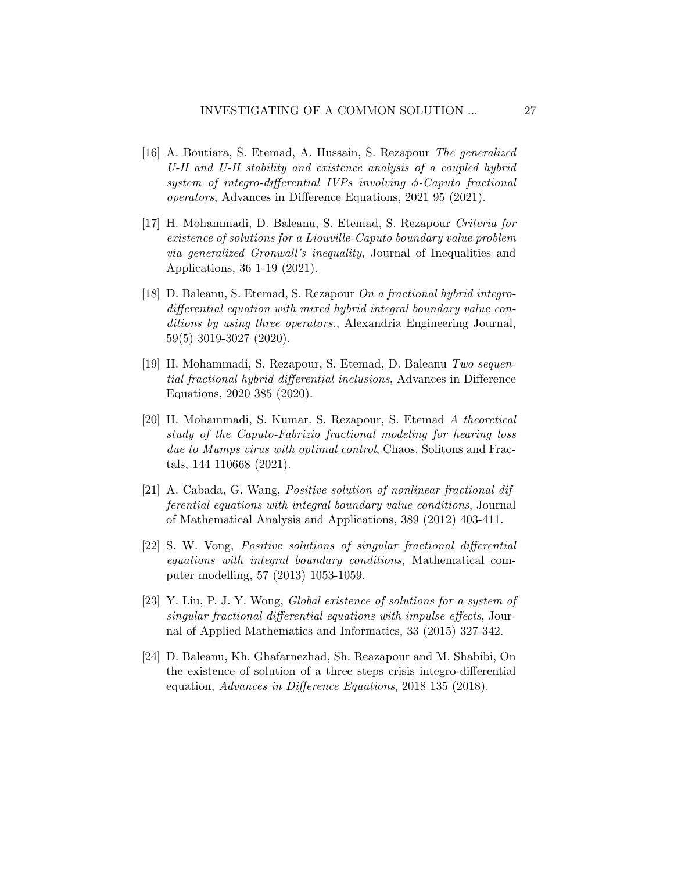- [16] A. Boutiara, S. Etemad, A. Hussain, S. Rezapour The generalized U-H and U-H stability and existence analysis of a coupled hybrid system of integro-differential IVPs involving  $\phi$ -Caputo fractional operators, Advances in Difference Equations, 2021 95 (2021).
- [17] H. Mohammadi, D. Baleanu, S. Etemad, S. Rezapour Criteria for existence of solutions for a Liouville-Caputo boundary value problem via generalized Gronwall's inequality, Journal of Inequalities and Applications, 36 1-19 (2021).
- [18] D. Baleanu, S. Etemad, S. Rezapour On a fractional hybrid integrodifferential equation with mixed hybrid integral boundary value conditions by using three operators., Alexandria Engineering Journal, 59(5) 3019-3027 (2020).
- [19] H. Mohammadi, S. Rezapour, S. Etemad, D. Baleanu Two sequential fractional hybrid differential inclusions, Advances in Difference Equations, 2020 385 (2020).
- <span id="page-26-0"></span>[20] H. Mohammadi, S. Kumar. S. Rezapour, S. Etemad A theoretical study of the Caputo-Fabrizio fractional modeling for hearing loss due to Mumps virus with optimal control, Chaos, Solitons and Fractals, 144 110668 (2021).
- <span id="page-26-1"></span>[21] A. Cabada, G. Wang, Positive solution of nonlinear fractional differential equations with integral boundary value conditions, Journal of Mathematical Analysis and Applications, 389 (2012) 403-411.
- <span id="page-26-2"></span>[22] S. W. Vong, Positive solutions of singular fractional differential equations with integral boundary conditions, Mathematical computer modelling, 57 (2013) 1053-1059.
- <span id="page-26-3"></span>[23] Y. Liu, P. J. Y. Wong, Global existence of solutions for a system of singular fractional differential equations with impulse effects, Journal of Applied Mathematics and Informatics, 33 (2015) 327-342.
- <span id="page-26-4"></span>[24] D. Baleanu, Kh. Ghafarnezhad, Sh. Reazapour and M. Shabibi, On the existence of solution of a three steps crisis integro-differential equation, Advances in Difference Equations, 2018 135 (2018).